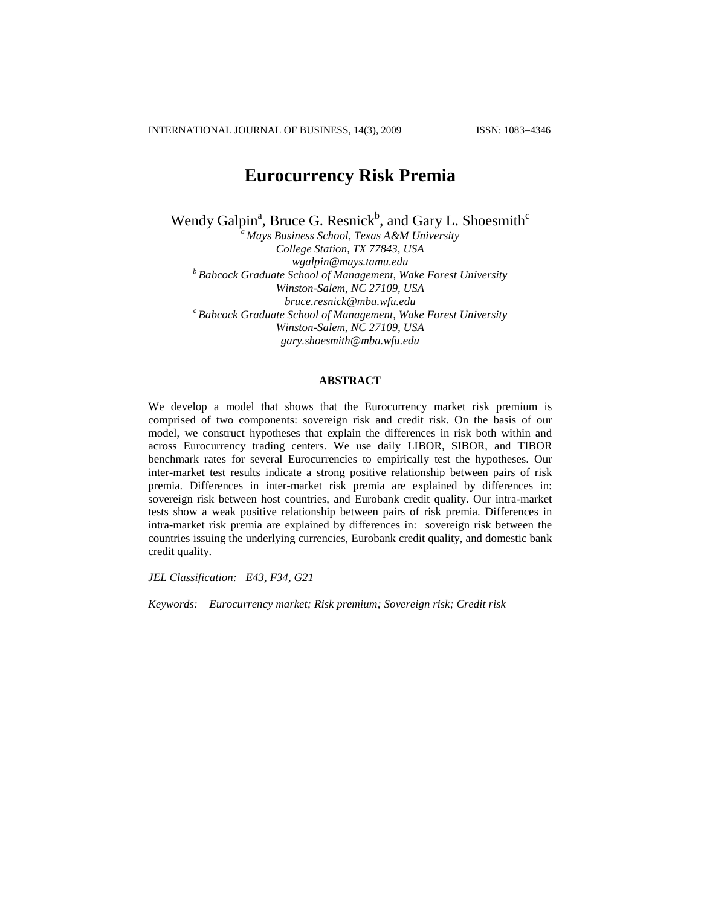INTERNATIONAL JOURNAL OF BUSINESS, 14(3), 2009 ISSN: 1083-4346

# **Eurocurrency Risk Premia**

Wendy Galpin<sup>a</sup>, Bruce G. Resnick<sup>b</sup>, and Gary L. Shoesmith<sup>c</sup>

*<sup>a</sup> Mays Business School, Texas A&M University College Station, TX 77843, USA [wgalpin@mays.tamu.edu](mailto:wgalpin@mays.tamu.edu) <sup>b</sup> Babcock Graduate School of Management, Wake Forest University Winston-Salem, NC 27109, USA [bruce.resnick@mba.wfu.edu](mailto:bruce.resnick@mba.wfu.edu) <sup>c</sup> Babcock Graduate School of Management, Wake Forest University Winston-Salem, NC 27109, USA [gary.shoesmith@mba.wfu.edu](mailto:gary.shoesmith@mba.wfu.edu)*

## **ABSTRACT**

We develop a model that shows that the Eurocurrency market risk premium is comprised of two components: sovereign risk and credit risk. On the basis of our model, we construct hypotheses that explain the differences in risk both within and across Eurocurrency trading centers. We use daily LIBOR, SIBOR, and TIBOR benchmark rates for several Eurocurrencies to empirically test the hypotheses. Our inter-market test results indicate a strong positive relationship between pairs of risk premia. Differences in inter-market risk premia are explained by differences in: sovereign risk between host countries, and Eurobank credit quality. Our intra-market tests show a weak positive relationship between pairs of risk premia. Differences in intra-market risk premia are explained by differences in: sovereign risk between the countries issuing the underlying currencies, Eurobank credit quality, and domestic bank credit quality.

*JEL Classification: E43, F34, G21*

*Keywords: Eurocurrency market; Risk premium; Sovereign risk; Credit risk*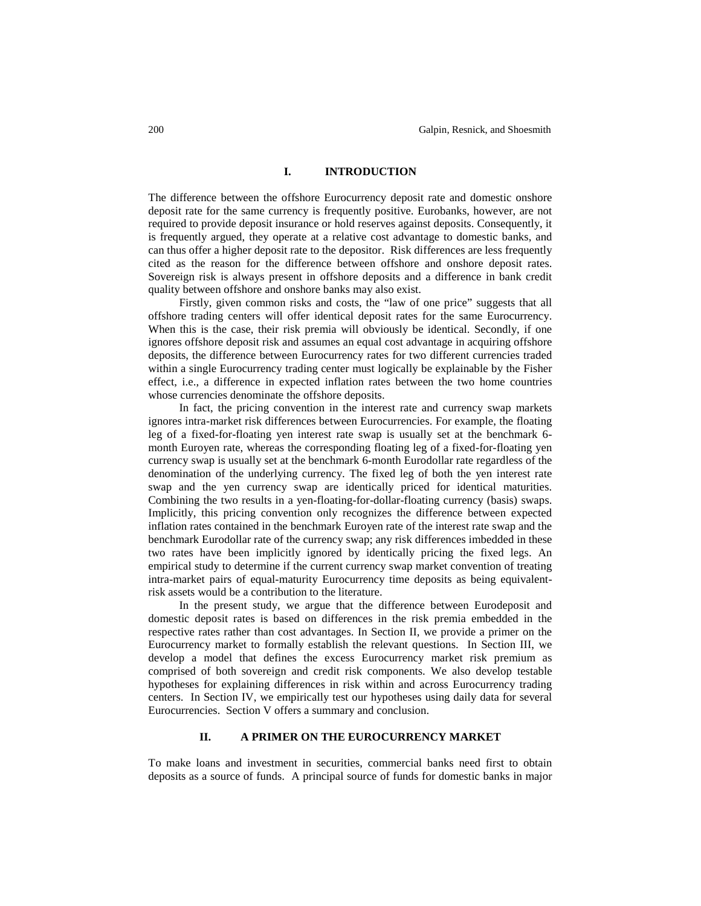# **I. INTRODUCTION**

The difference between the offshore Eurocurrency deposit rate and domestic onshore deposit rate for the same currency is frequently positive. Eurobanks, however, are not required to provide deposit insurance or hold reserves against deposits. Consequently, it is frequently argued, they operate at a relative cost advantage to domestic banks, and can thus offer a higher deposit rate to the depositor. Risk differences are less frequently cited as the reason for the difference between offshore and onshore deposit rates. Sovereign risk is always present in offshore deposits and a difference in bank credit quality between offshore and onshore banks may also exist.

Firstly, given common risks and costs, the "law of one price" suggests that all offshore trading centers will offer identical deposit rates for the same Eurocurrency. When this is the case, their risk premia will obviously be identical. Secondly, if one ignores offshore deposit risk and assumes an equal cost advantage in acquiring offshore deposits, the difference between Eurocurrency rates for two different currencies traded within a single Eurocurrency trading center must logically be explainable by the Fisher effect, i.e., a difference in expected inflation rates between the two home countries whose currencies denominate the offshore deposits.

In fact, the pricing convention in the interest rate and currency swap markets ignores intra-market risk differences between Eurocurrencies. For example, the floating leg of a fixed-for-floating yen interest rate swap is usually set at the benchmark 6 month Euroyen rate, whereas the corresponding floating leg of a fixed-for-floating yen currency swap is usually set at the benchmark 6-month Eurodollar rate regardless of the denomination of the underlying currency. The fixed leg of both the yen interest rate swap and the yen currency swap are identically priced for identical maturities. Combining the two results in a yen-floating-for-dollar-floating currency (basis) swaps. Implicitly, this pricing convention only recognizes the difference between expected inflation rates contained in the benchmark Euroyen rate of the interest rate swap and the benchmark Eurodollar rate of the currency swap; any risk differences imbedded in these two rates have been implicitly ignored by identically pricing the fixed legs. An empirical study to determine if the current currency swap market convention of treating intra-market pairs of equal-maturity Eurocurrency time deposits as being equivalentrisk assets would be a contribution to the literature.

In the present study, we argue that the difference between Eurodeposit and domestic deposit rates is based on differences in the risk premia embedded in the respective rates rather than cost advantages. In Section II, we provide a primer on the Eurocurrency market to formally establish the relevant questions. In Section III, we develop a model that defines the excess Eurocurrency market risk premium as comprised of both sovereign and credit risk components. We also develop testable hypotheses for explaining differences in risk within and across Eurocurrency trading centers. In Section IV, we empirically test our hypotheses using daily data for several Eurocurrencies. Section V offers a summary and conclusion.

## **II. A PRIMER ON THE EUROCURRENCY MARKET**

To make loans and investment in securities, commercial banks need first to obtain deposits as a source of funds. A principal source of funds for domestic banks in major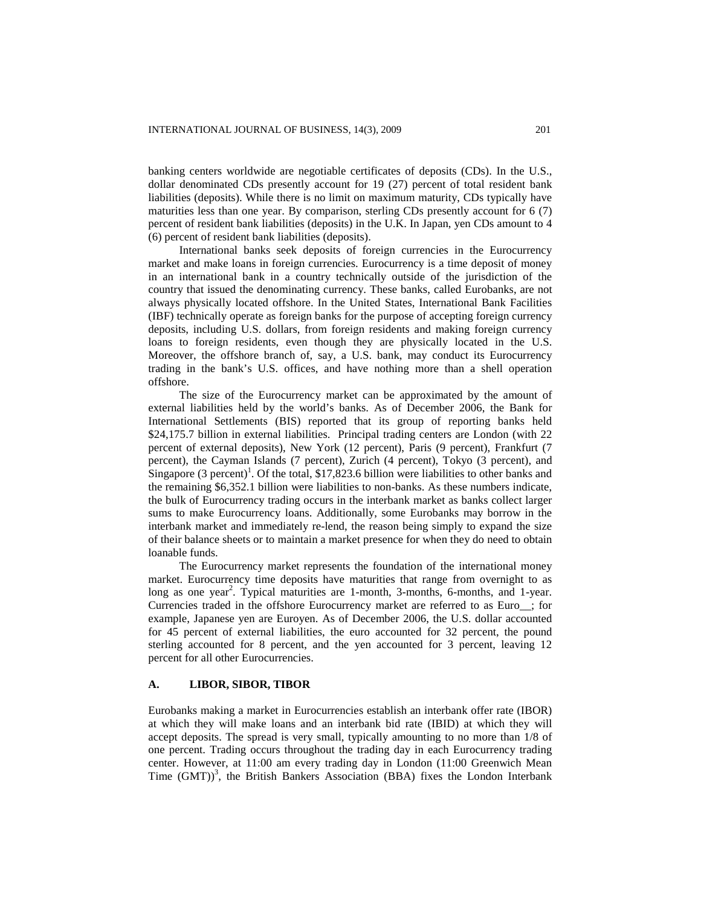banking centers worldwide are negotiable certificates of deposits (CDs). In the U.S., dollar denominated CDs presently account for 19 (27) percent of total resident bank liabilities (deposits). While there is no limit on maximum maturity, CDs typically have maturities less than one year. By comparison, sterling CDs presently account for 6 (7) percent of resident bank liabilities (deposits) in the U.K. In Japan, yen CDs amount to 4 (6) percent of resident bank liabilities (deposits).

International banks seek deposits of foreign currencies in the Eurocurrency market and make loans in foreign currencies. Eurocurrency is a time deposit of money in an international bank in a country technically outside of the jurisdiction of the country that issued the denominating currency. These banks, called Eurobanks, are not always physically located offshore. In the United States, International Bank Facilities (IBF) technically operate as foreign banks for the purpose of accepting foreign currency deposits, including U.S. dollars, from foreign residents and making foreign currency loans to foreign residents, even though they are physically located in the U.S. Moreover, the offshore branch of, say, a U.S. bank, may conduct its Eurocurrency trading in the bank's U.S. offices, and have nothing more than a shell operation offshore.

The size of the Eurocurrency market can be approximated by the amount of external liabilities held by the world's banks. As of December 2006, the Bank for International Settlements (BIS) reported that its group of reporting banks held \$24,175.7 billion in external liabilities. Principal trading centers are London (with 22 percent of external deposits), New York (12 percent), Paris (9 percent), Frankfurt (7 percent), the Cayman Islands (7 percent), Zurich (4 percent), Tokyo (3 percent), and Singapore  $(3 \text{ percent})^1$ . Of the total, \$17,823.6 billion were liabilities to other banks and the remaining \$6,352.1 billion were liabilities to non-banks. As these numbers indicate, the bulk of Eurocurrency trading occurs in the interbank market as banks collect larger sums to make Eurocurrency loans. Additionally, some Eurobanks may borrow in the interbank market and immediately re-lend, the reason being simply to expand the size of their balance sheets or to maintain a market presence for when they do need to obtain loanable funds.

The Eurocurrency market represents the foundation of the international money market. Eurocurrency time deposits have maturities that range from overnight to as long as one year<sup>2</sup>. Typical maturities are 1-month, 3-months, 6-months, and 1-year. Currencies traded in the offshore Eurocurrency market are referred to as Euro\_\_; for example, Japanese yen are Euroyen. As of December 2006, the U.S. dollar accounted for 45 percent of external liabilities, the euro accounted for 32 percent, the pound sterling accounted for 8 percent, and the yen accounted for 3 percent, leaving 12 percent for all other Eurocurrencies.

#### **A. LIBOR, SIBOR, TIBOR**

Eurobanks making a market in Eurocurrencies establish an interbank offer rate (IBOR) at which they will make loans and an interbank bid rate (IBID) at which they will accept deposits. The spread is very small, typically amounting to no more than 1/8 of one percent. Trading occurs throughout the trading day in each Eurocurrency trading center. However, at 11:00 am every trading day in London (11:00 Greenwich Mean Time  $(GMT)$ <sup>3</sup>, the British Bankers Association (BBA) fixes the London Interbank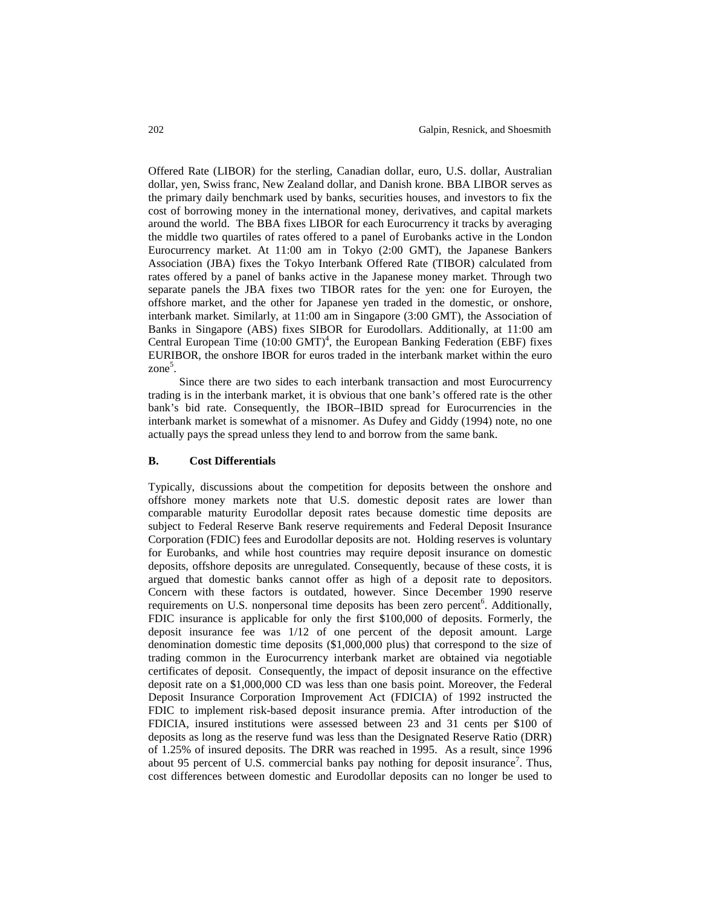Offered Rate (LIBOR) for the sterling, Canadian dollar, euro, U.S. dollar, Australian dollar, yen, Swiss franc, New Zealand dollar, and Danish krone. BBA LIBOR serves as the primary daily benchmark used by banks, securities houses, and investors to fix the cost of borrowing money in the international money, derivatives, and capital markets around the world. The BBA fixes LIBOR for each Eurocurrency it tracks by averaging the middle two quartiles of rates offered to a panel of Eurobanks active in the London Eurocurrency market. At 11:00 am in Tokyo (2:00 GMT), the Japanese Bankers Association (JBA) fixes the Tokyo Interbank Offered Rate (TIBOR) calculated from rates offered by a panel of banks active in the Japanese money market. Through two separate panels the JBA fixes two TIBOR rates for the yen: one for Euroyen, the offshore market, and the other for Japanese yen traded in the domestic, or onshore, interbank market. Similarly, at 11:00 am in Singapore (3:00 GMT), the Association of Banks in Singapore (ABS) fixes SIBOR for Eurodollars. Additionally, at 11:00 am Central European Time  $(10.00 \text{ GMT})^4$ , the European Banking Federation (EBF) fixes EURIBOR, the onshore IBOR for euros traded in the interbank market within the euro zone<sup>5</sup>.

Since there are two sides to each interbank transaction and most Eurocurrency trading is in the interbank market, it is obvious that one bank's offered rate is the other bank's bid rate. Consequently, the IBOR–IBID spread for Eurocurrencies in the interbank market is somewhat of a misnomer. As Dufey and Giddy (1994) note, no one actually pays the spread unless they lend to and borrow from the same bank.

#### **B. Cost Differentials**

Typically, discussions about the competition for deposits between the onshore and offshore money markets note that U.S. domestic deposit rates are lower than comparable maturity Eurodollar deposit rates because domestic time deposits are subject to Federal Reserve Bank reserve requirements and Federal Deposit Insurance Corporation (FDIC) fees and Eurodollar deposits are not. Holding reserves is voluntary for Eurobanks, and while host countries may require deposit insurance on domestic deposits, offshore deposits are unregulated. Consequently, because of these costs, it is argued that domestic banks cannot offer as high of a deposit rate to depositors. Concern with these factors is outdated, however. Since December 1990 reserve requirements on U.S. nonpersonal time deposits has been zero percent<sup>6</sup>. Additionally, FDIC insurance is applicable for only the first \$100,000 of deposits. Formerly, the deposit insurance fee was 1/12 of one percent of the deposit amount. Large denomination domestic time deposits (\$1,000,000 plus) that correspond to the size of trading common in the Eurocurrency interbank market are obtained via negotiable certificates of deposit. Consequently, the impact of deposit insurance on the effective deposit rate on a \$1,000,000 CD was less than one basis point. Moreover, the Federal Deposit Insurance Corporation Improvement Act (FDICIA) of 1992 instructed the FDIC to implement risk-based deposit insurance premia. After introduction of the FDICIA, insured institutions were assessed between 23 and 31 cents per \$100 of deposits as long as the reserve fund was less than the Designated Reserve Ratio (DRR) of 1.25% of insured deposits. The DRR was reached in 1995. As a result, since 1996 about 95 percent of U.S. commercial banks pay nothing for deposit insurance<sup>7</sup>. Thus, cost differences between domestic and Eurodollar deposits can no longer be used to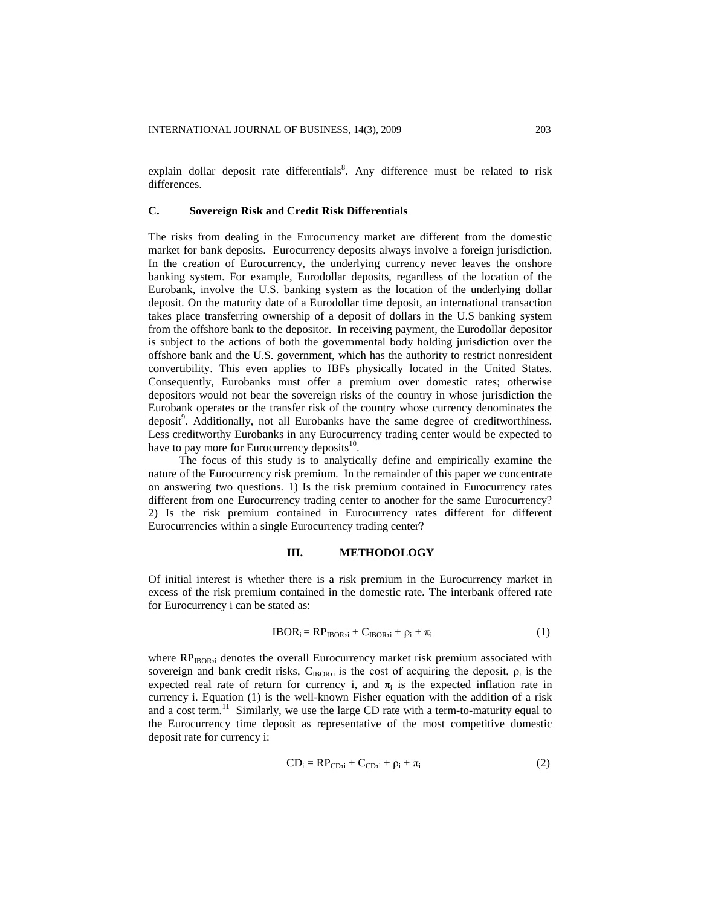explain dollar deposit rate differentials<sup>8</sup>. Any difference must be related to risk differences.

# **C. Sovereign Risk and Credit Risk Differentials**

The risks from dealing in the Eurocurrency market are different from the domestic market for bank deposits. Eurocurrency deposits always involve a foreign jurisdiction. In the creation of Eurocurrency, the underlying currency never leaves the onshore banking system. For example, Eurodollar deposits, regardless of the location of the Eurobank, involve the U.S. banking system as the location of the underlying dollar deposit. On the maturity date of a Eurodollar time deposit, an international transaction takes place transferring ownership of a deposit of dollars in the U.S banking system from the offshore bank to the depositor. In receiving payment, the Eurodollar depositor is subject to the actions of both the governmental body holding jurisdiction over the offshore bank and the U.S. government, which has the authority to restrict nonresident convertibility. This even applies to IBFs physically located in the United States. Consequently, Eurobanks must offer a premium over domestic rates; otherwise depositors would not bear the sovereign risks of the country in whose jurisdiction the Eurobank operates or the transfer risk of the country whose currency denominates the deposit<sup>9</sup>. Additionally, not all Eurobanks have the same degree of creditworthiness. Less creditworthy Eurobanks in any Eurocurrency trading center would be expected to have to pay more for Eurocurrency deposits<sup>10</sup>.

The focus of this study is to analytically define and empirically examine the nature of the Eurocurrency risk premium. In the remainder of this paper we concentrate on answering two questions. 1) Is the risk premium contained in Eurocurrency rates different from one Eurocurrency trading center to another for the same Eurocurrency? 2) Is the risk premium contained in Eurocurrency rates different for different Eurocurrencies within a single Eurocurrency trading center?

## **III. METHODOLOGY**

Of initial interest is whether there is a risk premium in the Eurocurrency market in excess of the risk premium contained in the domestic rate. The interbank offered rate for Eurocurrency i can be stated as:

$$
IBOR_i = RP_{IBOR,i} + C_{IBOR,i} + \rho_i + \pi_i
$$
 (1)

where  $RP_{IBOR,i}$  denotes the overall Eurocurrency market risk premium associated with sovereign and bank credit risks,  $C_{IBOR,i}$  is the cost of acquiring the deposit,  $\rho_i$  is the expected real rate of return for currency i, and  $\pi$  is the expected inflation rate in currency i. Equation (1) is the well-known Fisher equation with the addition of a risk and a cost term.<sup>11</sup> Similarly, we use the large CD rate with a term-to-maturity equal to the Eurocurrency time deposit as representative of the most competitive domestic deposit rate for currency i:

$$
CD_i = RPCD,i + CCD,i + \rho_i + \pi_i
$$
 (2)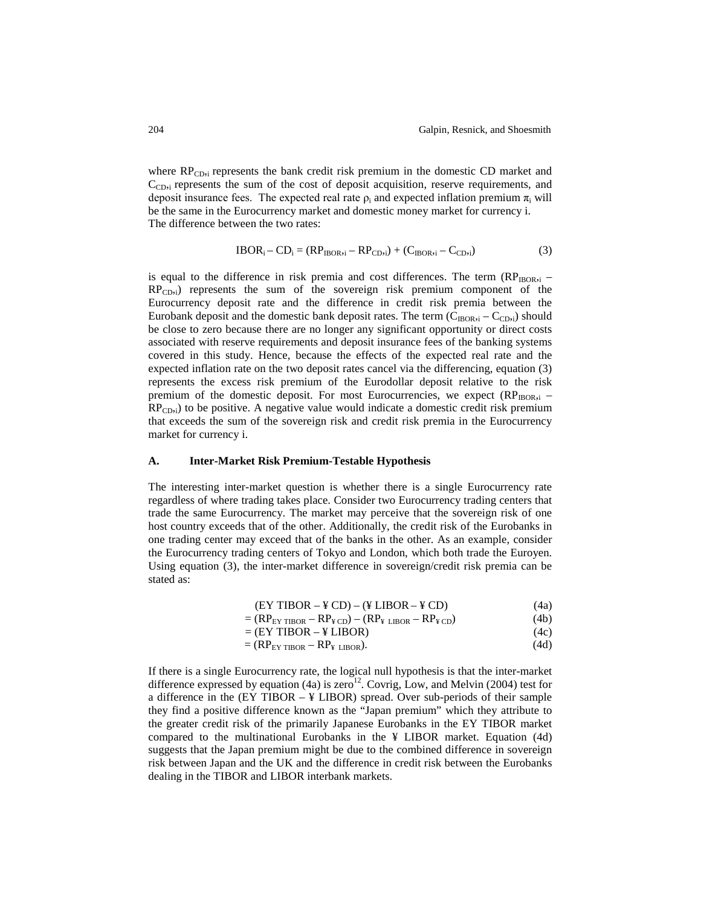where  $RP<sub>Chi</sub>$  represents the bank credit risk premium in the domestic CD market and  $C_{CD,i}$  represents the sum of the cost of deposit acquisition, reserve requirements, and deposit insurance fees. The expected real rate  $\rho_i$  and expected inflation premium  $\pi_i$  will be the same in the Eurocurrency market and domestic money market for currency i. The difference between the two rates:

$$
IBORi - CDi = (RPIBOR,i - RPCD,i) + (CIBOR,i - CCD,i)
$$
\n(3)

is equal to the difference in risk premia and cost differences. The term  $(RP_{IBOR,i} RP_{CD,i}$ ) represents the sum of the sovereign risk premium component of the Eurocurrency deposit rate and the difference in credit risk premia between the Eurobank deposit and the domestic bank deposit rates. The term  $(C_{IBOR,i} - C_{CD,i})$  should be close to zero because there are no longer any significant opportunity or direct costs associated with reserve requirements and deposit insurance fees of the banking systems covered in this study. Hence, because the effects of the expected real rate and the expected inflation rate on the two deposit rates cancel via the differencing, equation (3) represents the excess risk premium of the Eurodollar deposit relative to the risk premium of the domestic deposit. For most Eurocurrencies, we expect  $(RP_{IBOR,i} RP_{CD,i}$ ) to be positive. A negative value would indicate a domestic credit risk premium that exceeds the sum of the sovereign risk and credit risk premia in the Eurocurrency market for currency i.

#### **A. Inter-Market Risk Premium-Testable Hypothesis**

The interesting inter-market question is whether there is a single Eurocurrency rate regardless of where trading takes place. Consider two Eurocurrency trading centers that trade the same Eurocurrency. The market may perceive that the sovereign risk of one host country exceeds that of the other. Additionally, the credit risk of the Eurobanks in one trading center may exceed that of the banks in the other. As an example, consider the Eurocurrency trading centers of Tokyo and London, which both trade the Euroyen. Using equation (3), the inter-market difference in sovereign/credit risk premia can be stated as:

$$
(EY TIBOR - \text{Y} CD) - (\text{Y LIBOR} - \text{Y} CD)
$$
\n
$$
\tag{4a}
$$

$$
= (RPEY TIBOR - RP¥ CD) - (RP¥ LIBOR - RP¥ CD)
$$
 (4b)

$$
= (EY TIBOR - \text{Y LIBOR}) \tag{4c}
$$

$$
= (RPEY TIBOR - RP¥ LIBOR). \t(4d)
$$

If there is a single Eurocurrency rate, the logical null hypothesis is that the inter-market difference expressed by equation (4a) is zero<sup>12</sup>. Covrig, Low, and Melvin (2004) test for a difference in the  $EY TIBOR - Y LIBOR$  spread. Over sub-periods of their sample they find a positive difference known as the "Japan premium" which they attribute to the greater credit risk of the primarily Japanese Eurobanks in the EY TIBOR market compared to the multinational Eurobanks in the ¥ LIBOR market. Equation (4d) suggests that the Japan premium might be due to the combined difference in sovereign risk between Japan and the UK and the difference in credit risk between the Eurobanks dealing in the TIBOR and LIBOR interbank markets.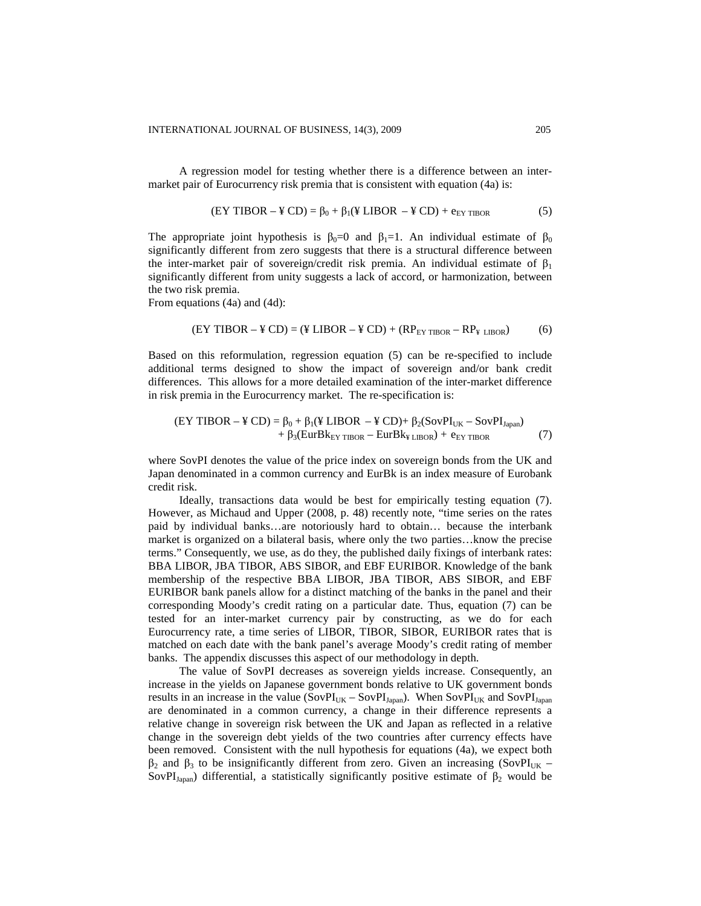A regression model for testing whether there is a difference between an intermarket pair of Eurocurrency risk premia that is consistent with equation (4a) is:

$$
(EY TIBOR - \frac{2}{3} CD) = \beta_0 + \beta_1 (\frac{2}{3} LIBOR - \frac{2}{3} CD) + e_{EY TIBOR}
$$
 (5)

The appropriate joint hypothesis is  $\beta_0=0$  and  $\beta_1=1$ . An individual estimate of  $\beta_0$ significantly different from zero suggests that there is a structural difference between the inter-market pair of sovereign/credit risk premia. An individual estimate of  $\beta_1$ significantly different from unity suggests a lack of accord, or harmonization, between the two risk premia.

From equations (4a) and (4d):

$$
(EY TIBOR - \text{# CD}) = (\text{# LIBOR} - \text{# CD}) + (RP_{EY TIBOR} - RP_{\text{# LIBOR}})
$$
(6)

Based on this reformulation, regression equation (5) can be re-specified to include additional terms designed to show the impact of sovereign and/or bank credit differences. This allows for a more detailed examination of the inter-market difference in risk premia in the Eurocurrency market. The re-specification is:

$$
(EY TIBOR - \text{Y } CD) = \beta_0 + \beta_1 (\text{Y } LIBOR - \text{Y } CD) + \beta_2 (SovPI_{UK} - SovPI_{Japan})
$$
  
+  $\beta_3 (EurBk_{EY TIBOR} - EurBk_{Y LIBOR}) + e_{EY TIBOR}$  (7)

where SovPI denotes the value of the price index on sovereign bonds from the UK and Japan denominated in a common currency and EurBk is an index measure of Eurobank credit risk.

Ideally, transactions data would be best for empirically testing equation (7). However, as Michaud and Upper (2008, p. 48) recently note, "time series on the rates paid by individual banks…are notoriously hard to obtain… because the interbank market is organized on a bilateral basis, where only the two parties…know the precise terms." Consequently, we use, as do they, the published daily fixings of interbank rates: BBA LIBOR, JBA TIBOR, ABS SIBOR, and EBF EURIBOR. Knowledge of the bank membership of the respective BBA LIBOR, JBA TIBOR, ABS SIBOR, and EBF EURIBOR bank panels allow for a distinct matching of the banks in the panel and their corresponding Moody's credit rating on a particular date. Thus, equation (7) can be tested for an inter-market currency pair by constructing, as we do for each Eurocurrency rate, a time series of LIBOR, TIBOR, SIBOR, EURIBOR rates that is matched on each date with the bank panel's average Moody's credit rating of member banks. The appendix discusses this aspect of our methodology in depth.

The value of SovPI decreases as sovereign yields increase. Consequently, an increase in the yields on Japanese government bonds relative to UK government bonds results in an increase in the value  $(SovPI_{UK} - SovPI_{Japan})$ . When  $SovPI_{UK}$  and  $SovPI_{Japan}$ are denominated in a common currency, a change in their difference represents a relative change in sovereign risk between the UK and Japan as reflected in a relative change in the sovereign debt yields of the two countries after currency effects have been removed. Consistent with the null hypothesis for equations (4a), we expect both  $β_2$  and  $β_3$  to be insignificantly different from zero. Given an increasing (SovPI<sub>UK</sub> – SovPI<sub>Japan</sub>) differential, a statistically significantly positive estimate of  $\beta_2$  would be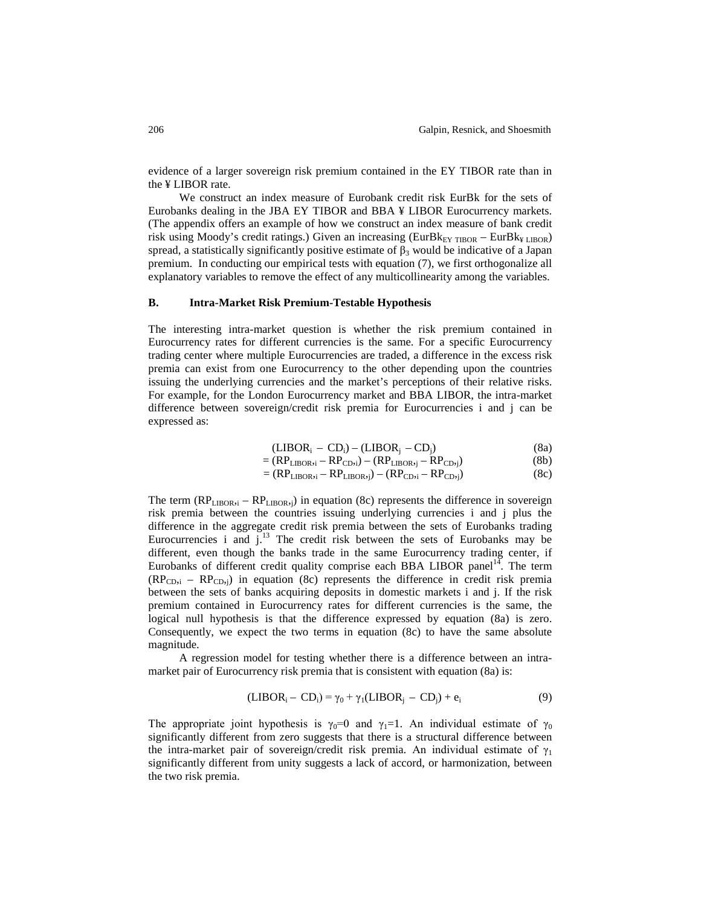evidence of a larger sovereign risk premium contained in the EY TIBOR rate than in the ¥ LIBOR rate.

We construct an index measure of Eurobank credit risk EurBk for the sets of Eurobanks dealing in the JBA EY TIBOR and BBA ¥ LIBOR Eurocurrency markets. (The appendix offers an example of how we construct an index measure of bank credit risk using Moody's credit ratings.) Given an increasing (EurBk<sub>EY TIBOR</sub> – EurBk<sub>¥ LIBOR</sub>) spread, a statistically significantly positive estimate of  $\beta_3$  would be indicative of a Japan premium. In conducting our empirical tests with equation (7), we first orthogonalize all explanatory variables to remove the effect of any multicollinearity among the variables.

## **B. Intra-Market Risk Premium-Testable Hypothesis**

The interesting intra-market question is whether the risk premium contained in Eurocurrency rates for different currencies is the same. For a specific Eurocurrency trading center where multiple Eurocurrencies are traded, a difference in the excess risk premia can exist from one Eurocurrency to the other depending upon the countries issuing the underlying currencies and the market's perceptions of their relative risks. For example, for the London Eurocurrency market and BBA LIBOR, the intra-market difference between sovereign/credit risk premia for Eurocurrencies i and j can be expressed as:

$$
(LIBORi - CDi) - (LIBORj - CDj)
$$
 (8a)

$$
= (RPLIBOR,i - RPCD,i) - (RPLIBOR,j - RPCD,j)
$$
 (8b)

$$
= (RPLIBOR,i - RPLIBOR,j) - (RPCD,i - RPCD,j)
$$
 (8c)

The term  $(RP_{\text{LIBOR},i} - RP_{\text{LIBOR},i})$  in equation (8c) represents the difference in sovereign risk premia between the countries issuing underlying currencies i and j plus the difference in the aggregate credit risk premia between the sets of Eurobanks trading Eurocurrencies i and  $j<sup>13</sup>$ . The credit risk between the sets of Eurobanks may be different, even though the banks trade in the same Eurocurrency trading center, if Eurobanks of different credit quality comprise each BBA LIBOR panel<sup>14</sup>. The term  $(RP_{CD,i} - RP_{CD,i})$  in equation (8c) represents the difference in credit risk premia between the sets of banks acquiring deposits in domestic markets i and j. If the risk premium contained in Eurocurrency rates for different currencies is the same, the logical null hypothesis is that the difference expressed by equation (8a) is zero. Consequently, we expect the two terms in equation (8c) to have the same absolute magnitude.

A regression model for testing whether there is a difference between an intramarket pair of Eurocurrency risk premia that is consistent with equation (8a) is:

$$
(LIBORi - CDi) = \gamma_0 + \gamma_1 (LIBORj - CDj) + ei
$$
\n(9)

The appropriate joint hypothesis is  $\gamma_0=0$  and  $\gamma_1=1$ . An individual estimate of  $\gamma_0$ significantly different from zero suggests that there is a structural difference between the intra-market pair of sovereign/credit risk premia. An individual estimate of  $\gamma_1$ significantly different from unity suggests a lack of accord, or harmonization, between the two risk premia.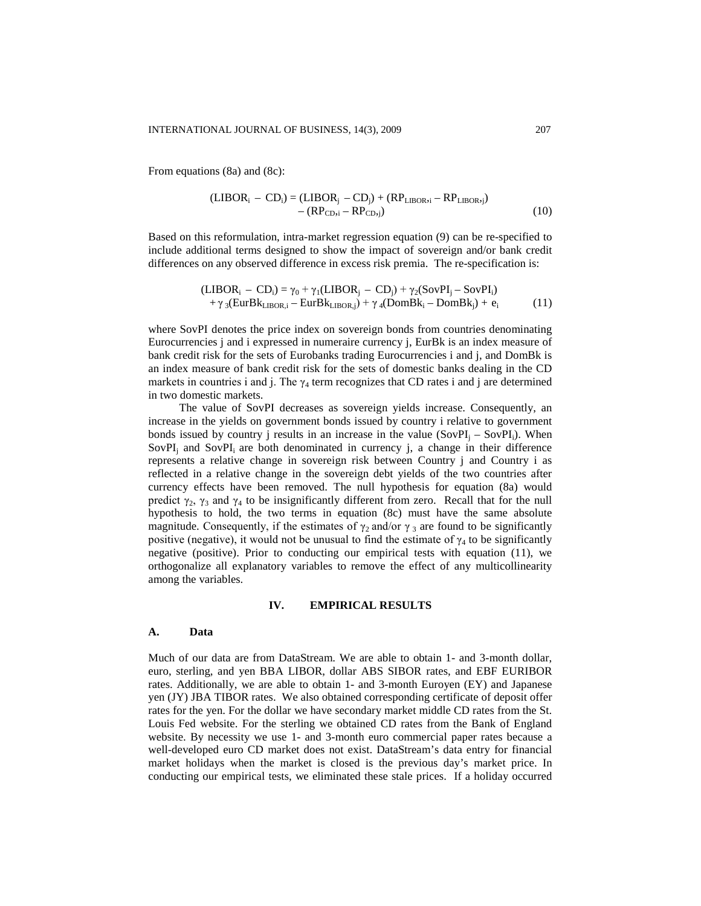From equations (8a) and (8c):

$$
(\mathbf{LIBOR}_{i} - \mathbf{CD}_{i}) = (\mathbf{LIBOR}_{j} - \mathbf{CD}_{j}) + (\mathbf{RP}_{\mathbf{LIBOR}i} - \mathbf{RP}_{\mathbf{LIBOR}i})
$$

$$
- (\mathbf{RP}_{\mathbf{CD}i} - \mathbf{RP}_{\mathbf{CD}j})
$$
(10)

Based on this reformulation, intra-market regression equation (9) can be re-specified to include additional terms designed to show the impact of sovereign and/or bank credit differences on any observed difference in excess risk premia. The re-specification is:

$$
(LIBORi - CDi) = \gamma_0 + \gamma_1(LIBORj - CDj) + \gamma_2(SovPIj - SovPIi) + \gamma_3(EurBkLIBOR,i - EurBkLIBOR,j) + \gamma_4(DomBki - DomBkj) + ei
$$
 (11)

where SovPI denotes the price index on sovereign bonds from countries denominating Eurocurrencies j and i expressed in numeraire currency j, EurBk is an index measure of bank credit risk for the sets of Eurobanks trading Eurocurrencies i and j, and DomBk is an index measure of bank credit risk for the sets of domestic banks dealing in the CD markets in countries i and j. The  $\gamma_4$  term recognizes that CD rates i and j are determined in two domestic markets.

The value of SovPI decreases as sovereign yields increase. Consequently, an increase in the yields on government bonds issued by country i relative to government bonds issued by country j results in an increase in the value  $(SovPI_i - SovPI_i)$ . When  $SovPI<sub>i</sub>$  and  $SovPI<sub>i</sub>$  are both denominated in currency j, a change in their difference represents a relative change in sovereign risk between Country j and Country i as reflected in a relative change in the sovereign debt yields of the two countries after currency effects have been removed. The null hypothesis for equation (8a) would predict  $\gamma_2$ ,  $\gamma_3$  and  $\gamma_4$  to be insignificantly different from zero. Recall that for the null hypothesis to hold, the two terms in equation (8c) must have the same absolute magnitude. Consequently, if the estimates of  $\gamma_2$  and/or  $\gamma_3$  are found to be significantly positive (negative), it would not be unusual to find the estimate of  $\gamma_4$  to be significantly negative (positive). Prior to conducting our empirical tests with equation (11), we orthogonalize all explanatory variables to remove the effect of any multicollinearity among the variables.

## **IV. EMPIRICAL RESULTS**

#### **A. Data**

Much of our data are from DataStream. We are able to obtain 1- and 3-month dollar, euro, sterling, and yen BBA LIBOR, dollar ABS SIBOR rates, and EBF EURIBOR rates. Additionally, we are able to obtain 1- and 3-month Euroyen (EY) and Japanese yen (JY) JBA TIBOR rates. We also obtained corresponding certificate of deposit offer rates for the yen. For the dollar we have secondary market middle CD rates from the St. Louis Fed website. For the sterling we obtained CD rates from the Bank of England website. By necessity we use 1- and 3-month euro commercial paper rates because a well-developed euro CD market does not exist. DataStream's data entry for financial market holidays when the market is closed is the previous day's market price. In conducting our empirical tests, we eliminated these stale prices. If a holiday occurred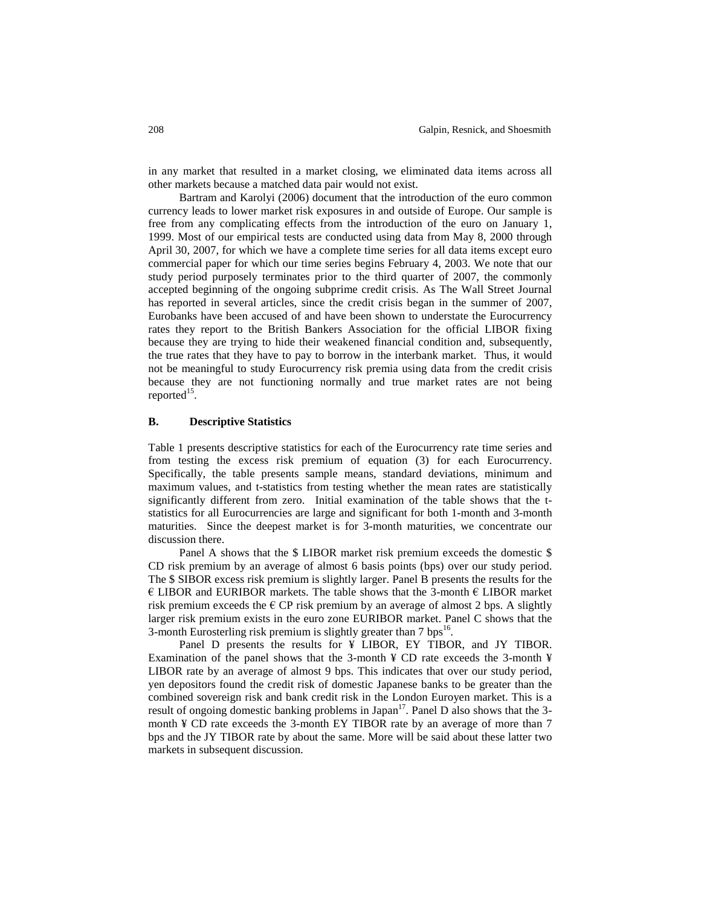in any market that resulted in a market closing, we eliminated data items across all other markets because a matched data pair would not exist.

Bartram and Karolyi (2006) document that the introduction of the euro common currency leads to lower market risk exposures in and outside of Europe. Our sample is free from any complicating effects from the introduction of the euro on January 1, 1999. Most of our empirical tests are conducted using data from May 8, 2000 through April 30, 2007, for which we have a complete time series for all data items except euro commercial paper for which our time series begins February 4, 2003. We note that our study period purposely terminates prior to the third quarter of 2007, the commonly accepted beginning of the ongoing subprime credit crisis. As The Wall Street Journal has reported in several articles, since the credit crisis began in the summer of 2007, Eurobanks have been accused of and have been shown to understate the Eurocurrency rates they report to the British Bankers Association for the official LIBOR fixing because they are trying to hide their weakened financial condition and, subsequently, the true rates that they have to pay to borrow in the interbank market. Thus, it would not be meaningful to study Eurocurrency risk premia using data from the credit crisis because they are not functioning normally and true market rates are not being reported $^{15}$ .

# **B. Descriptive Statistics**

Table 1 presents descriptive statistics for each of the Eurocurrency rate time series and from testing the excess risk premium of equation (3) for each Eurocurrency. Specifically, the table presents sample means, standard deviations, minimum and maximum values, and t-statistics from testing whether the mean rates are statistically significantly different from zero. Initial examination of the table shows that the tstatistics for all Eurocurrencies are large and significant for both 1-month and 3-month maturities. Since the deepest market is for 3-month maturities, we concentrate our discussion there.

Panel A shows that the \$ LIBOR market risk premium exceeds the domestic \$ CD risk premium by an average of almost 6 basis points (bps) over our study period. The \$ SIBOR excess risk premium is slightly larger. Panel B presents the results for the  $\epsilon$  LIBOR and EURIBOR markets. The table shows that the 3-month  $\epsilon$  LIBOR market risk premium exceeds the  $\epsilon$  CP risk premium by an average of almost 2 bps. A slightly larger risk premium exists in the euro zone EURIBOR market. Panel C shows that the 3-month Eurosterling risk premium is slightly greater than  $7 \text{ bps}^{16}$ .

Panel D presents the results for ¥ LIBOR, EY TIBOR, and JY TIBOR. Examination of the panel shows that the 3-month  $\angle$  CD rate exceeds the 3-month  $\angle$ LIBOR rate by an average of almost 9 bps. This indicates that over our study period, yen depositors found the credit risk of domestic Japanese banks to be greater than the combined sovereign risk and bank credit risk in the London Euroyen market. This is a result of ongoing domestic banking problems in Japan $17$ . Panel D also shows that the 3month ¥ CD rate exceeds the 3-month EY TIBOR rate by an average of more than 7 bps and the JY TIBOR rate by about the same. More will be said about these latter two markets in subsequent discussion.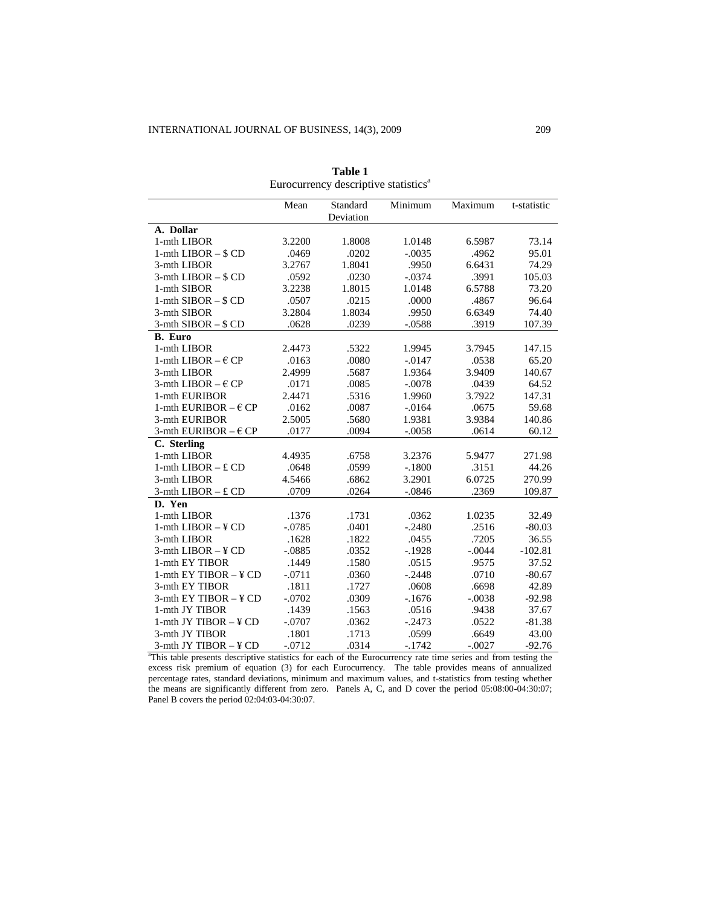|                               | Mean     | Standard  | Minimum   | Maximum  | t-statistic |
|-------------------------------|----------|-----------|-----------|----------|-------------|
|                               |          | Deviation |           |          |             |
| A. Dollar                     |          |           |           |          |             |
| 1-mth LIBOR                   | 3.2200   | 1.8008    | 1.0148    | 6.5987   | 73.14       |
| 1-mth LIBOR $-$ \$ CD         | .0469    | .0202     | $-.0035$  | .4962    | 95.01       |
| 3-mth LIBOR                   | 3.2767   | 1.8041    | .9950     | 6.6431   | 74.29       |
| $3-$ mth LIBOR $-$ \$ CD      | .0592    | .0230     | $-.0374$  | .3991    | 105.03      |
| 1-mth SIBOR                   | 3.2238   | 1.8015    | 1.0148    | 6.5788   | 73.20       |
| 1-mth $SIBOR - $CD$           | .0507    | .0215     | .0000     | .4867    | 96.64       |
| 3-mth SIBOR                   | 3.2804   | 1.8034    | .9950     | 6.6349   | 74.40       |
| $3-$ mth SIBOR $-$ \$ CD      | .0628    | .0239     | $-0.0588$ | .3919    | 107.39      |
| <b>B.</b> Euro                |          |           |           |          |             |
| 1-mth LIBOR                   | 2.4473   | .5322     | 1.9945    | 3.7945   | 147.15      |
| 1-mth LIBOR $- \in CP$        | .0163    | .0080     | $-0.0147$ | .0538    | 65.20       |
| 3-mth LIBOR                   | 2.4999   | .5687     | 1.9364    | 3.9409   | 140.67      |
| 3-mth LIBOR $- \in CP$        | .0171    | .0085     | $-.0078$  | .0439    | 64.52       |
| 1-mth EURIBOR                 | 2.4471   | .5316     | 1.9960    | 3.7922   | 147.31      |
| 1-mth EURIBOR $- \epsilon$ CP | .0162    | .0087     | $-0.0164$ | .0675    | 59.68       |
| 3-mth EURIBOR                 | 2.5005   | .5680     | 1.9381    | 3.9384   | 140.86      |
| 3-mth EURIBOR $-\epsilon$ CP  | .0177    | .0094     | $-.0058$  | .0614    | 60.12       |
| C. Sterling                   |          |           |           |          |             |
| 1-mth LIBOR                   | 4.4935   | .6758     | 3.2376    | 5.9477   | 271.98      |
| 1-mth LIBOR $- ECD$           | .0648    | .0599     | $-.1800$  | .3151    | 44.26       |
| 3-mth LIBOR                   | 4.5466   | .6862     | 3.2901    | 6.0725   | 270.99      |
| 3-mth LIBOR $- E$ CD          | .0709    | .0264     | $-.0846$  | .2369    | 109.87      |
| D. Yen                        |          |           |           |          |             |
| 1-mth LIBOR                   | .1376    | .1731     | .0362     | 1.0235   | 32.49       |
| 1-mth $LIBOR - YCD$           | $-.0785$ | .0401     | $-.2480$  | .2516    | $-80.03$    |
| 3-mth LIBOR                   | .1628    | .1822     | .0455     | .7205    | 36.55       |
| $3-$ mth LIBOR $-$ ¥ CD       | $-.0885$ | .0352     | $-.1928$  | $-.0044$ | $-102.81$   |
| 1-mth EY TIBOR                | .1449    | .1580     | .0515     | .9575    | 37.52       |
| 1-mth $EY$ TIBOR $-$ ¥ CD     | $-.0711$ | .0360     | $-.2448$  | .0710    | $-80.67$    |
| 3-mth EY TIBOR                | .1811    | .1727     | .0608     | .6698    | 42.89       |
| 3-mth EY TIBOR - ¥ CD         | $-.0702$ | .0309     | $-1676$   | $-.0038$ | $-92.98$    |
| 1-mth JY TIBOR                | .1439    | .1563     | .0516     | .9438    | 37.67       |
| 1-mth JY TIBOR $-$ ¥ CD       | $-.0707$ | .0362     | $-.2473$  | .0522    | $-81.38$    |
| 3-mth JY TIBOR                | .1801    | .1713     | .0599     | .6649    | 43.00       |
| 3-mth JY TIBOR $-$ ¥ CD       | $-.0712$ | .0314     | $-.1742$  | $-.0027$ | $-92.76$    |

**Table 1** Eurocurrency descriptive statistics<sup>a</sup>

<sup>a</sup>This table presents descriptive statistics for each of the Eurocurrency rate time series and from testing the excess risk premium of equation (3) for each Eurocurrency. The table provides means of annualized percentage rates, standard deviations, minimum and maximum values, and t-statistics from testing whether the means are significantly different from zero. Panels A, C, and D cover the period 05:08:00-04:30:07; Panel B covers the period 02:04:03-04:30:07.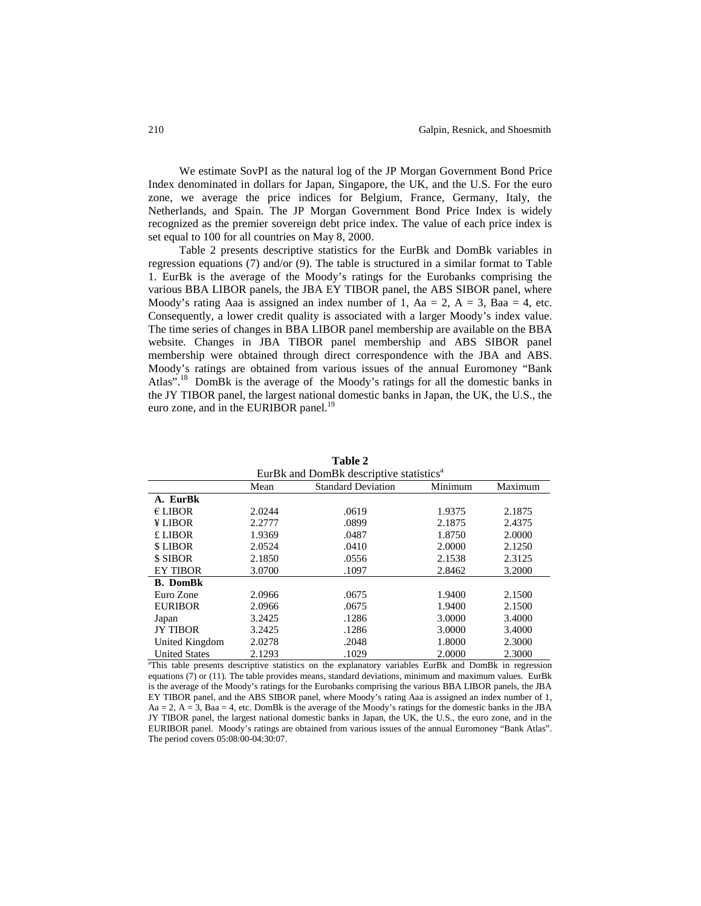We estimate SovPI as the natural log of the JP Morgan Government Bond Price Index denominated in dollars for Japan, Singapore, the UK, and the U.S. For the euro zone, we average the price indices for Belgium, France, Germany, Italy, the Netherlands, and Spain. The JP Morgan Government Bond Price Index is widely recognized as the premier sovereign debt price index. The value of each price index is set equal to 100 for all countries on May 8, 2000.

Table 2 presents descriptive statistics for the EurBk and DomBk variables in regression equations (7) and/or (9). The table is structured in a similar format to Table 1. EurBk is the average of the Moody's ratings for the Eurobanks comprising the various BBA LIBOR panels, the JBA EY TIBOR panel, the ABS SIBOR panel, where Moody's rating Aaa is assigned an index number of 1, Aa = 2, A = 3, Baa = 4, etc. Consequently, a lower credit quality is associated with a larger Moody's index value. The time series of changes in BBA LIBOR panel membership are available on the BBA website. Changes in JBA TIBOR panel membership and ABS SIBOR panel membership were obtained through direct correspondence with the JBA and ABS. Moody's ratings are obtained from various issues of the annual Euromoney "Bank Atlas".<sup>18</sup> DomBk is the average of the Moody's ratings for all the domestic banks in the JY TIBOR panel, the largest national domestic banks in Japan, the UK, the U.S., the euro zone, and in the EURIBOR panel.<sup>19</sup>

| EurBk and DomBk descriptive statistics <sup>a</sup> |        |                           |         |         |  |
|-----------------------------------------------------|--------|---------------------------|---------|---------|--|
|                                                     | Mean   | <b>Standard Deviation</b> | Minimum | Maximum |  |
| A. EurBk                                            |        |                           |         |         |  |
| $E$ LIBOR                                           | 2.0244 | .0619                     | 1.9375  | 2.1875  |  |
| ¥ LIBOR                                             | 2.2777 | .0899                     | 2.1875  | 2.4375  |  |
| £ LIBOR                                             | 1.9369 | .0487                     | 1.8750  | 2.0000  |  |
| \$ LIBOR                                            | 2.0524 | .0410                     | 2.0000  | 2.1250  |  |
| \$ SIBOR                                            | 2.1850 | .0556                     | 2.1538  | 2.3125  |  |
| <b>EY TIBOR</b>                                     | 3.0700 | .1097                     | 2.8462  | 3.2000  |  |
| <b>B.</b> DomBk                                     |        |                           |         |         |  |
| Euro Zone                                           | 2.0966 | .0675                     | 1.9400  | 2.1500  |  |
| <b>EURIBOR</b>                                      | 2.0966 | .0675                     | 1.9400  | 2.1500  |  |
| Japan                                               | 3.2425 | .1286                     | 3.0000  | 3.4000  |  |
| <b>JY TIBOR</b>                                     | 3.2425 | .1286                     | 3.0000  | 3.4000  |  |
| United Kingdom                                      | 2.0278 | .2048                     | 1.8000  | 2.3000  |  |
| <b>United States</b>                                | 2.1293 | .1029                     | 2.0000  | 2.3000  |  |

**Table 2**

<sup>a</sup>This table presents descriptive statistics on the explanatory variables EurBk and DomBk in regression equations (7) or (11). The table provides means, standard deviations, minimum and maximum values. EurBk is the average of the Moody's ratings for the Eurobanks comprising the various BBA LIBOR panels, the JBA EY TIBOR panel, and the ABS SIBOR panel, where Moody's rating Aaa is assigned an index number of 1,  $Aa = 2$ ,  $A = 3$ ,  $Baa = 4$ , etc. DomBk is the average of the Moody's ratings for the domestic banks in the JBA JY TIBOR panel, the largest national domestic banks in Japan, the UK, the U.S., the euro zone, and in the EURIBOR panel. Moody's ratings are obtained from various issues of the annual Euromoney "Bank Atlas". The period covers 05:08:00-04:30:07.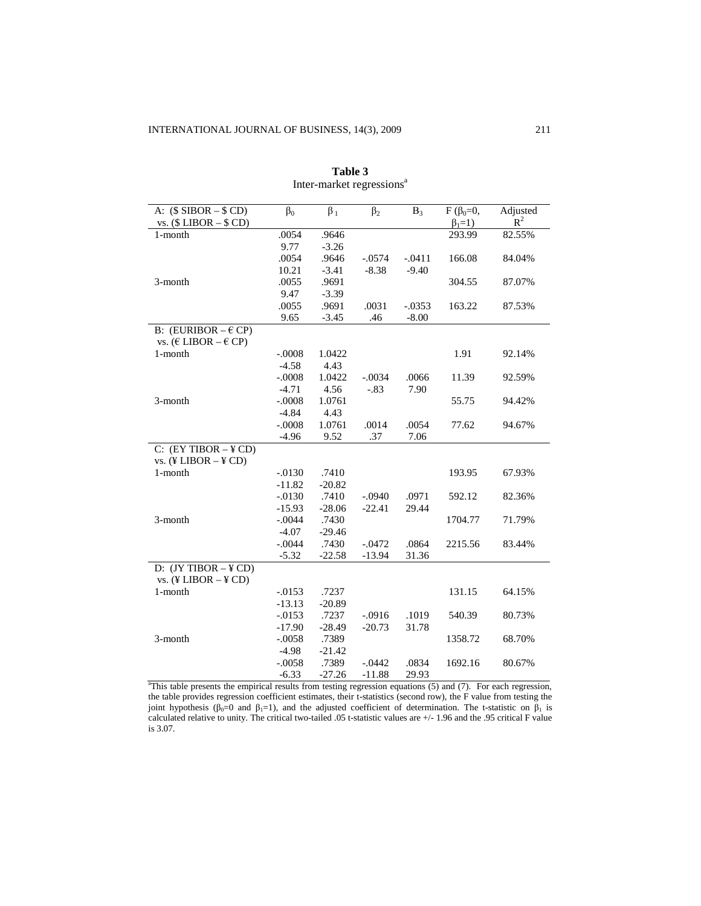| A: $(\$$ SIBOR $ $$ CD)                   | $\beta_0$ | $\beta_1$ | $\beta_2$ | $B_3$    | $F(\beta_0=0,$ | Adjusted |
|-------------------------------------------|-----------|-----------|-----------|----------|----------------|----------|
| vs. $($LIBOR - $CD)$                      |           |           |           |          | $\beta_1=1$ )  | $R^2$    |
| 1-month                                   | .0054     | .9646     |           |          | 293.99         | 82.55%   |
|                                           | 9.77      | $-3.26$   |           |          |                |          |
|                                           | .0054     | .9646     | $-.0574$  | $-.0411$ | 166.08         | 84.04%   |
|                                           | 10.21     | $-3.41$   | $-8.38$   | $-9.40$  |                |          |
| 3-month                                   | .0055     | .9691     |           |          | 304.55         | 87.07%   |
|                                           | 9.47      | $-3.39$   |           |          |                |          |
|                                           | .0055     | .9691     | .0031     | $-.0353$ | 163.22         | 87.53%   |
|                                           | 9.65      | $-3.45$   | .46       | $-8.00$  |                |          |
| B: (EURIBOR $-\epsilon$ CP)               |           |           |           |          |                |          |
| vs. ( $E$ LIBOR – $E$ CP)                 |           |           |           |          |                |          |
| 1-month                                   | $-.0008$  | 1.0422    |           |          | 1.91           | 92.14%   |
|                                           | $-4.58$   | 4.43      |           |          |                |          |
|                                           | $-.0008$  | 1.0422    | $-.0034$  | .0066    | 11.39          | 92.59%   |
|                                           | $-4.71$   | 4.56      | $-.83$    | 7.90     |                |          |
| 3-month                                   | $-.0008$  | 1.0761    |           |          | 55.75          | 94.42%   |
|                                           | $-4.84$   | 4.43      |           |          |                |          |
|                                           | $-.0008$  | 1.0761    | .0014     | .0054    | 77.62          | 94.67%   |
|                                           | $-4.96$   | 9.52      | .37       | 7.06     |                |          |
| $C: (EY TIBOR - YCD)$                     |           |           |           |          |                |          |
| vs. $(\frac{1}{2} LIBOR - \frac{1}{2}CD)$ |           |           |           |          |                |          |
| 1-month                                   | $-0.0130$ | .7410     |           |          | 193.95         | 67.93%   |
|                                           | $-11.82$  | $-20.82$  |           |          |                |          |
|                                           | $-0.0130$ | .7410     | $-.0940$  | .0971    | 592.12         | 82.36%   |
|                                           | $-15.93$  | $-28.06$  | $-22.41$  | 29.44    |                |          |
| 3-month                                   | $-.0044$  | .7430     |           |          | 1704.77        | 71.79%   |
|                                           | $-4.07$   | $-29.46$  |           |          |                |          |
|                                           | $-.0044$  | .7430     | $-0.0472$ | .0864    | 2215.56        | 83.44%   |
|                                           | $-5.32$   | $-22.58$  | $-13.94$  | 31.36    |                |          |
| D: $(JY TIBOR - YCD)$                     |           |           |           |          |                |          |
| vs. $(\frac{1}{2} LIBOR - \frac{1}{2}CD)$ |           |           |           |          |                |          |
| 1-month                                   | $-0.0153$ | .7237     |           |          | 131.15         | 64.15%   |
|                                           | $-13.13$  | $-20.89$  |           |          |                |          |
|                                           | $-0.0153$ | .7237     | $-.0916$  | .1019    | 540.39         | 80.73%   |
|                                           | $-17.90$  | $-28.49$  | $-20.73$  | 31.78    |                |          |
| 3-month                                   | $-.0058$  | .7389     |           |          | 1358.72        | 68.70%   |
|                                           | $-4.98$   | $-21.42$  |           |          |                |          |
|                                           | $-.0058$  | .7389     | $-.0442$  | .0834    | 1692.16        | 80.67%   |
|                                           | $-6.33$   | $-27.26$  | $-11.88$  | 29.93    |                |          |

**Table 3** Inter-market regressions<sup>a</sup>

<sup>a</sup>This table presents the empirical results from testing regression equations (5) and (7). For each regression, the table provides regression coefficient estimates, their t-statistics (second row), the F value from testing the joint hypothesis ( $\beta_0=0$  and  $\beta_1=1$ ), and the adjusted coefficient of determination. The t-statistic on  $\beta_1$  is calculated relative to unity. The critical two-tailed .05 t-statistic values are +/- 1.96 and the .95 critical F value is 3.07.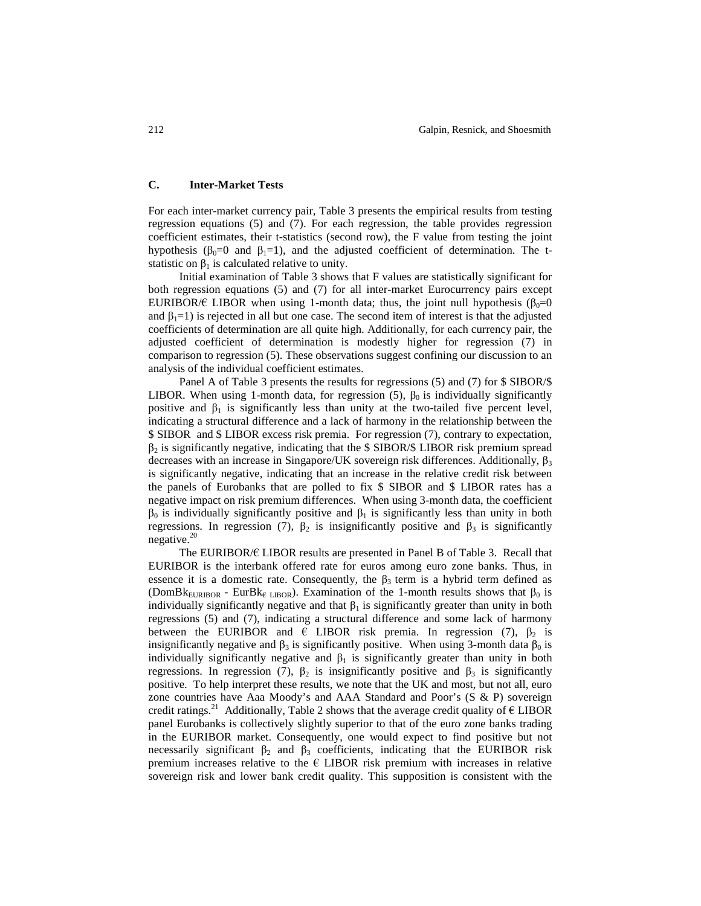# **C. Inter-Market Tests**

For each inter-market currency pair, Table 3 presents the empirical results from testing regression equations (5) and (7). For each regression, the table provides regression coefficient estimates, their t-statistics (second row), the F value from testing the joint hypothesis ( $β_0=0$  and  $β_1=1$ ), and the adjusted coefficient of determination. The tstatistic on  $\beta_1$  is calculated relative to unity.

Initial examination of Table 3 shows that F values are statistically significant for both regression equations (5) and (7) for all inter-market Eurocurrency pairs except EURIBOR/ $\epsilon$  LIBOR when using 1-month data; thus, the joint null hypothesis ( $\beta_0=0$ and  $\beta_1=1$ ) is rejected in all but one case. The second item of interest is that the adjusted coefficients of determination are all quite high. Additionally, for each currency pair, the adjusted coefficient of determination is modestly higher for regression (7) in comparison to regression (5). These observations suggest confining our discussion to an analysis of the individual coefficient estimates.

Panel A of Table 3 presents the results for regressions (5) and (7) for \$ SIBOR/\$ LIBOR. When using 1-month data, for regression (5),  $\beta_0$  is individually significantly positive and  $\beta_1$  is significantly less than unity at the two-tailed five percent level, indicating a structural difference and a lack of harmony in the relationship between the \$ SIBOR and \$ LIBOR excess risk premia. For regression (7), contrary to expectation,  $\beta_2$  is significantly negative, indicating that the \$ SIBOR/\$ LIBOR risk premium spread decreases with an increase in Singapore/UK sovereign risk differences. Additionally,  $\beta_3$ is significantly negative, indicating that an increase in the relative credit risk between the panels of Eurobanks that are polled to fix \$ SIBOR and \$ LIBOR rates has a negative impact on risk premium differences. When using 3-month data, the coefficient  $β<sub>0</sub>$  is individually significantly positive and  $β<sub>1</sub>$  is significantly less than unity in both regressions. In regression (7),  $β_2$  is insignificantly positive and  $β_3$  is significantly negative. $20$ 

The EURIBOR/€ LIBOR results are presented in Panel B of Table 3. Recall that EURIBOR is the interbank offered rate for euros among euro zone banks. Thus, in essence it is a domestic rate. Consequently, the  $\beta_3$  term is a hybrid term defined as (DomBk<sub>EURIBOR</sub> - EurBk<sub>€ LIBOR</sub>). Examination of the 1-month results shows that  $\beta_0$  is individually significantly negative and that  $\beta_1$  is significantly greater than unity in both regressions (5) and (7), indicating a structural difference and some lack of harmony between the EURIBOR and  $\epsilon$  LIBOR risk premia. In regression (7),  $\beta_2$  is insignificantly negative and  $\beta_3$  is significantly positive. When using 3-month data  $\beta_0$  is individually significantly negative and  $\beta_1$  is significantly greater than unity in both regressions. In regression (7),  $\beta_2$  is insignificantly positive and  $\beta_3$  is significantly positive. To help interpret these results, we note that the UK and most, but not all, euro zone countries have Aaa Moody's and AAA Standard and Poor's (S & P) sovereign credit ratings.<sup>21</sup> Additionally, Table 2 shows that the average credit quality of  $\epsilon$  LIBOR panel Eurobanks is collectively slightly superior to that of the euro zone banks trading in the EURIBOR market. Consequently, one would expect to find positive but not necessarily significant  $\beta_2$  and  $\beta_3$  coefficients, indicating that the EURIBOR risk premium increases relative to the  $\epsilon$  LIBOR risk premium with increases in relative sovereign risk and lower bank credit quality. This supposition is consistent with the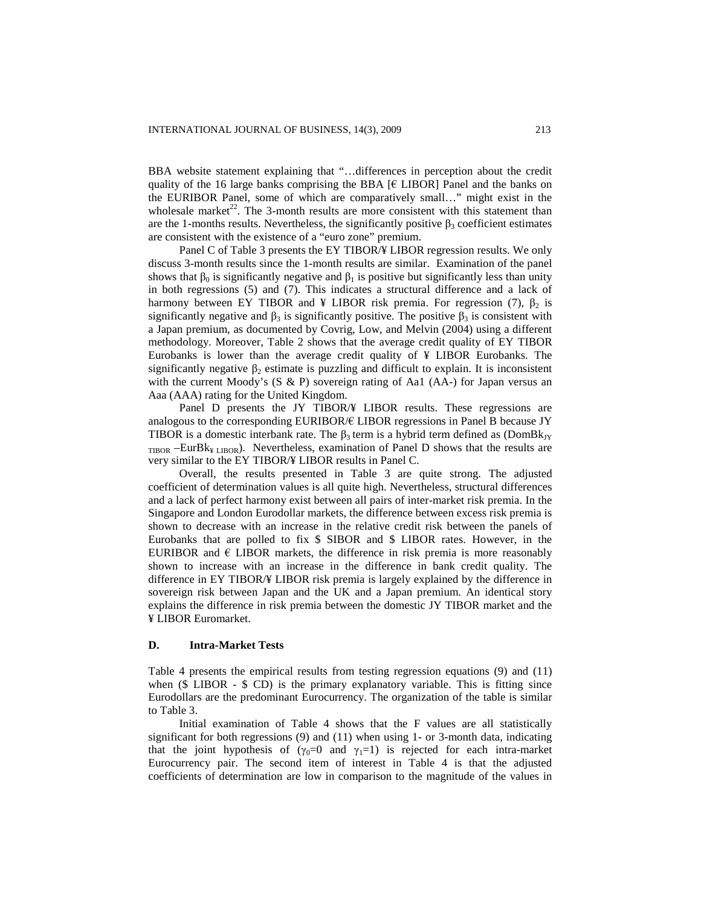BBA website statement explaining that "…differences in perception about the credit quality of the 16 large banks comprising the BBA  $[6]$  LIBOR] Panel and the banks on the EURIBOR Panel, some of which are comparatively small…" might exist in the wholesale market<sup>22</sup>. The 3-month results are more consistent with this statement than are the 1-months results. Nevertheless, the significantly positive  $\beta_3$  coefficient estimates are consistent with the existence of a "euro zone" premium.

Panel C of Table 3 presents the EY TIBOR/¥ LIBOR regression results. We only discuss 3-month results since the 1-month results are similar. Examination of the panel shows that  $\beta_0$  is significantly negative and  $\beta_1$  is positive but significantly less than unity in both regressions (5) and (7). This indicates a structural difference and a lack of harmony between EY TIBOR and ¥ LIBOR risk premia. For regression (7),  $β_2$  is significantly negative and  $\beta_3$  is significantly positive. The positive  $\beta_3$  is consistent with a Japan premium, as documented by Covrig, Low, and Melvin (2004) using a different methodology. Moreover, Table 2 shows that the average credit quality of EY TIBOR Eurobanks is lower than the average credit quality of ¥ LIBOR Eurobanks. The significantly negative  $\beta_2$  estimate is puzzling and difficult to explain. It is inconsistent with the current Moody's  $(S \& P)$  sovereign rating of Aa1 (AA-) for Japan versus an Aaa (AAA) rating for the United Kingdom.

Panel D presents the JY TIBOR/¥ LIBOR results. These regressions are analogous to the corresponding EURIBOR/€ LIBOR regressions in Panel B because JY TIBOR is a domestic interbank rate. The  $\beta_3$  term is a hybrid term defined as (DomBk<sub>IY</sub>)  $_{\text{TIBOR}}$  –EurBk<sub>¥ LIBOR</sub>). Nevertheless, examination of Panel D shows that the results are very similar to the EY TIBOR/¥ LIBOR results in Panel C.

Overall, the results presented in Table 3 are quite strong. The adjusted coefficient of determination values is all quite high. Nevertheless, structural differences and a lack of perfect harmony exist between all pairs of inter-market risk premia. In the Singapore and London Eurodollar markets, the difference between excess risk premia is shown to decrease with an increase in the relative credit risk between the panels of Eurobanks that are polled to fix \$ SIBOR and \$ LIBOR rates. However, in the EURIBOR and  $\epsilon$  LIBOR markets, the difference in risk premia is more reasonably shown to increase with an increase in the difference in bank credit quality. The difference in EY TIBOR/¥ LIBOR risk premia is largely explained by the difference in sovereign risk between Japan and the UK and a Japan premium. An identical story explains the difference in risk premia between the domestic JY TIBOR market and the ¥ LIBOR Euromarket.

#### **D. Intra-Market Tests**

Table 4 presents the empirical results from testing regression equations (9) and (11) when  $(\text{\$ LIBOR - $ CD})$  is the primary explanatory variable. This is fitting since Eurodollars are the predominant Eurocurrency. The organization of the table is similar to Table 3.

Initial examination of Table 4 shows that the F values are all statistically significant for both regressions  $(9)$  and  $(11)$  when using 1- or 3-month data, indicating that the joint hypothesis of  $(\gamma_0=0$  and  $\gamma_1=1)$  is rejected for each intra-market Eurocurrency pair. The second item of interest in Table 4 is that the adjusted coefficients of determination are low in comparison to the magnitude of the values in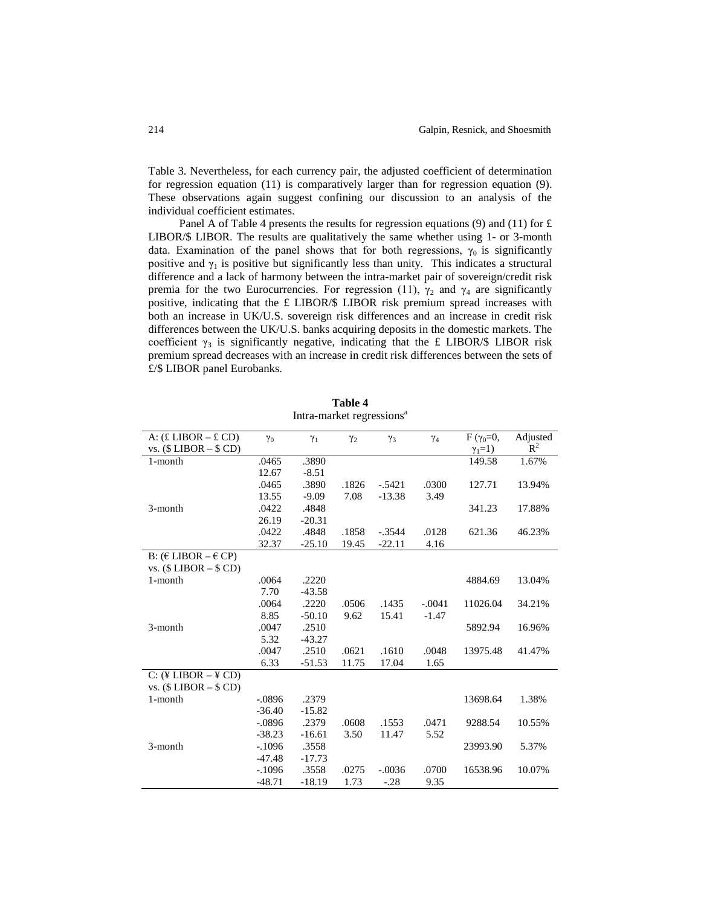Table 3. Nevertheless, for each currency pair, the adjusted coefficient of determination for regression equation (11) is comparatively larger than for regression equation (9). These observations again suggest confining our discussion to an analysis of the individual coefficient estimates.

Panel A of Table 4 presents the results for regression equations (9) and (11) for  $\pounds$ LIBOR/\$ LIBOR. The results are qualitatively the same whether using 1- or 3-month data. Examination of the panel shows that for both regressions,  $\gamma_0$  is significantly positive and  $\gamma_1$  is positive but significantly less than unity. This indicates a structural difference and a lack of harmony between the intra-market pair of sovereign/credit risk premia for the two Eurocurrencies. For regression (11),  $\gamma_2$  and  $\gamma_4$  are significantly positive, indicating that the £ LIBOR/\$ LIBOR risk premium spread increases with both an increase in UK/U.S. sovereign risk differences and an increase in credit risk differences between the UK/U.S. banks acquiring deposits in the domestic markets. The coefficient  $\gamma_3$  is significantly negative, indicating that the £ LIBOR/\$ LIBOR risk premium spread decreases with an increase in credit risk differences between the sets of £/\$ LIBOR panel Eurobanks.

| A: $(E$ LIBOR $-E$ CD)                | $\gamma_0$ | $\gamma_1$ | $\gamma_2$ | $\gamma_3$ | $\gamma_4$ | $F(\gamma_0=0,$ | Adjusted |
|---------------------------------------|------------|------------|------------|------------|------------|-----------------|----------|
| vs. $($LIBOR - $CD)$                  |            |            |            |            |            | $\gamma_1=1$ )  | $R^2$    |
| 1-month                               | .0465      | .3890      |            |            |            | 149.58          | 1.67%    |
|                                       | 12.67      | $-8.51$    |            |            |            |                 |          |
|                                       | .0465      | .3890      | .1826      | $-.5421$   | .0300      | 127.71          | 13.94%   |
|                                       | 13.55      | $-9.09$    | 7.08       | $-13.38$   | 3.49       |                 |          |
| 3-month                               | .0422      | .4848      |            |            |            | 341.23          | 17.88%   |
|                                       | 26.19      | $-20.31$   |            |            |            |                 |          |
|                                       | .0422      | .4848      | .1858      | $-.3544$   | .0128      | 621.36          | 46.23%   |
|                                       | 32.37      | $-25.10$   | 19.45      | $-22.11$   | 4.16       |                 |          |
| B: ( $E$ LIBOR $-E$ CP)               |            |            |            |            |            |                 |          |
| vs. $($LIBOR - $CD)$                  |            |            |            |            |            |                 |          |
| 1-month                               | .0064      | .2220      |            |            |            | 4884.69         | 13.04%   |
|                                       | 7.70       | $-43.58$   |            |            |            |                 |          |
|                                       | .0064      | .2220      | .0506      | .1435      | $-.0041$   | 11026.04        | 34.21%   |
|                                       | 8.85       | $-50.10$   | 9.62       | 15.41      | $-1.47$    |                 |          |
| 3-month                               | .0047      | .2510      |            |            |            | 5892.94         | 16.96%   |
|                                       | 5.32       | $-43.27$   |            |            |            |                 |          |
|                                       | .0047      | .2510      | .0621      | .1610      | .0048      | 13975.48        | 41.47%   |
|                                       | 6.33       | $-51.53$   | 11.75      | 17.04      | 1.65       |                 |          |
| $C:$ (¥ LIBOR $-$ ¥ $\overline{CD}$ ) |            |            |            |            |            |                 |          |
| vs. $($LIBOR - $CD)$                  |            |            |            |            |            |                 |          |
| 1-month                               | $-.0896$   | .2379      |            |            |            | 13698.64        | 1.38%    |
|                                       | $-36.40$   | $-15.82$   |            |            |            |                 |          |
|                                       | $-.0896$   | .2379      | .0608      | .1553      | .0471      | 9288.54         | 10.55%   |
|                                       | $-38.23$   | $-16.61$   | 3.50       | 11.47      | 5.52       |                 |          |
| 3-month                               | $-.1096$   | .3558      |            |            |            | 23993.90        | 5.37%    |
|                                       | $-47.48$   | $-17.73$   |            |            |            |                 |          |
|                                       | $-.1096$   | .3558      | .0275      | $-.0036$   | .0700      | 16538.96        | 10.07%   |
|                                       | $-48.71$   | $-18.19$   | 1.73       | $-.28$     | 9.35       |                 |          |

**Table 4** Intra-market regressions<sup>a</sup>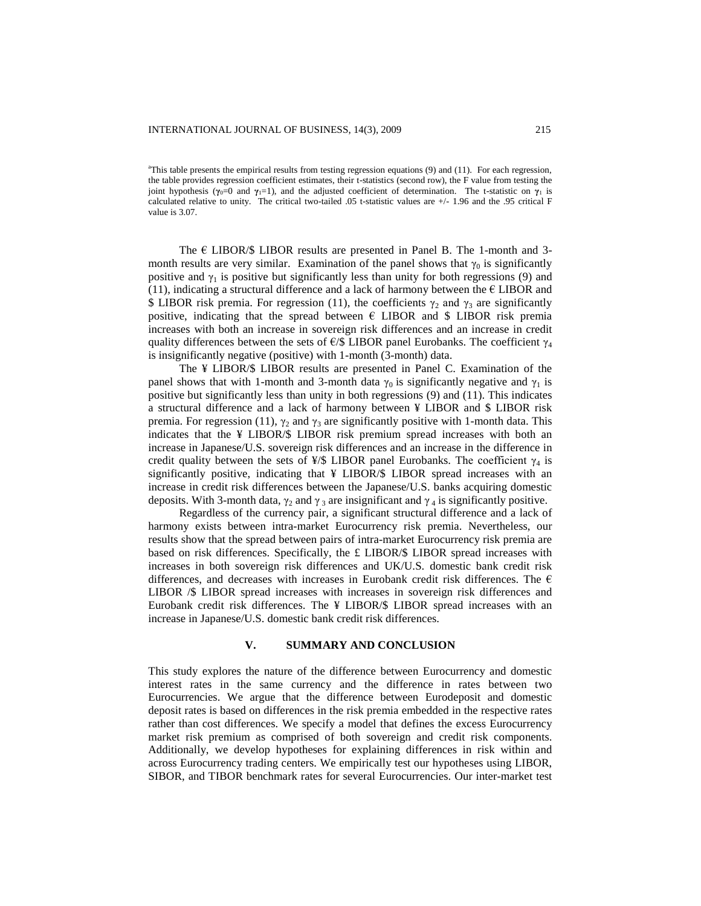<sup>a</sup>This table presents the empirical results from testing regression equations (9) and (11). For each regression, the table provides regression coefficient estimates, their t-statistics (second row), the F value from testing the joint hypothesis ( $\gamma_0=0$  and  $\gamma_1=1$ ), and the adjusted coefficient of determination. The t-statistic on  $\gamma_1$  is calculated relative to unity. The critical two-tailed .05 t-statistic values are +/- 1.96 and the .95 critical F value is 3.07.

The  $\epsilon$  LIBOR/\$ LIBOR results are presented in Panel B. The 1-month and 3month results are very similar. Examination of the panel shows that  $\gamma_0$  is significantly positive and  $\gamma_1$  is positive but significantly less than unity for both regressions (9) and (11), indicating a structural difference and a lack of harmony between the  $\epsilon$  LIBOR and \$ LIBOR risk premia. For regression (11), the coefficients  $\gamma_2$  and  $\gamma_3$  are significantly positive, indicating that the spread between  $\epsilon$  LIBOR and \$ LIBOR risk premia increases with both an increase in sovereign risk differences and an increase in credit quality differences between the sets of  $\epsilon$ /\$ LIBOR panel Eurobanks. The coefficient  $\gamma_4$ is insignificantly negative (positive) with 1-month (3-month) data.

The ¥ LIBOR/\$ LIBOR results are presented in Panel C. Examination of the panel shows that with 1-month and 3-month data  $\gamma_0$  is significantly negative and  $\gamma_1$  is positive but significantly less than unity in both regressions (9) and (11). This indicates a structural difference and a lack of harmony between ¥ LIBOR and \$ LIBOR risk premia. For regression (11),  $\gamma_2$  and  $\gamma_3$  are significantly positive with 1-month data. This indicates that the ¥ LIBOR/\$ LIBOR risk premium spread increases with both an increase in Japanese/U.S. sovereign risk differences and an increase in the difference in credit quality between the sets of  $\frac{1}{2}$  LIBOR panel Eurobanks. The coefficient  $\gamma_4$  is significantly positive, indicating that ¥ LIBOR/\$ LIBOR spread increases with an increase in credit risk differences between the Japanese/U.S. banks acquiring domestic deposits. With 3-month data,  $\gamma_2$  and  $\gamma_3$  are insignificant and  $\gamma_4$  is significantly positive.

Regardless of the currency pair, a significant structural difference and a lack of harmony exists between intra-market Eurocurrency risk premia. Nevertheless, our results show that the spread between pairs of intra-market Eurocurrency risk premia are based on risk differences. Specifically, the £ LIBOR/\$ LIBOR spread increases with increases in both sovereign risk differences and UK/U.S. domestic bank credit risk differences, and decreases with increases in Eurobank credit risk differences. The  $\epsilon$ LIBOR /\$ LIBOR spread increases with increases in sovereign risk differences and Eurobank credit risk differences. The ¥ LIBOR/\$ LIBOR spread increases with an increase in Japanese/U.S. domestic bank credit risk differences.

# **V. SUMMARY AND CONCLUSION**

This study explores the nature of the difference between Eurocurrency and domestic interest rates in the same currency and the difference in rates between two Eurocurrencies. We argue that the difference between Eurodeposit and domestic deposit rates is based on differences in the risk premia embedded in the respective rates rather than cost differences. We specify a model that defines the excess Eurocurrency market risk premium as comprised of both sovereign and credit risk components. Additionally, we develop hypotheses for explaining differences in risk within and across Eurocurrency trading centers. We empirically test our hypotheses using LIBOR, SIBOR, and TIBOR benchmark rates for several Eurocurrencies. Our inter-market test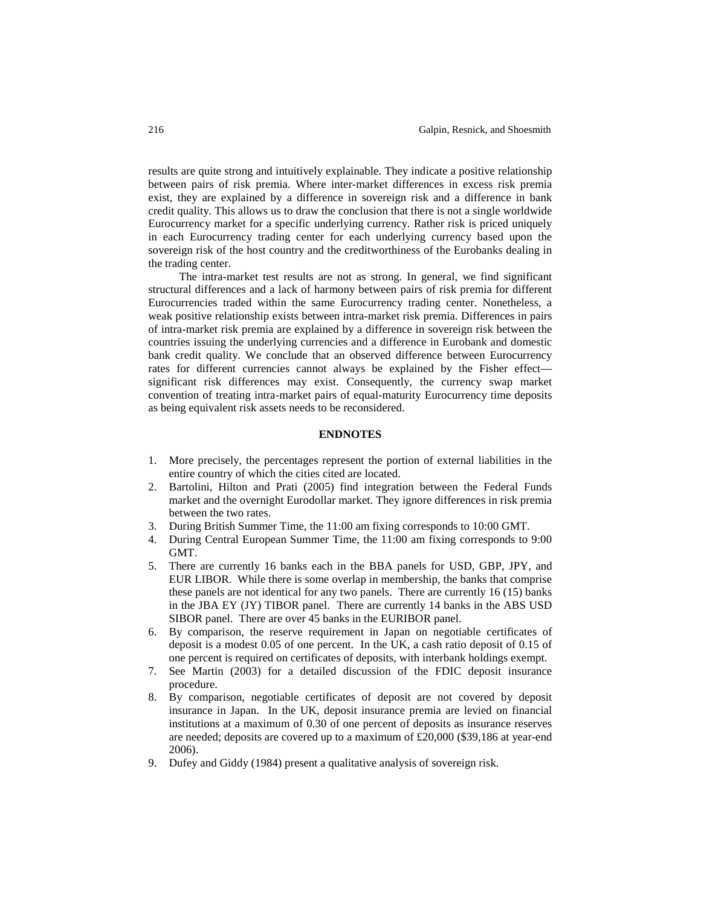results are quite strong and intuitively explainable. They indicate a positive relationship between pairs of risk premia. Where inter-market differences in excess risk premia exist, they are explained by a difference in sovereign risk and a difference in bank credit quality. This allows us to draw the conclusion that there is not a single worldwide Eurocurrency market for a specific underlying currency. Rather risk is priced uniquely in each Eurocurrency trading center for each underlying currency based upon the sovereign risk of the host country and the creditworthiness of the Eurobanks dealing in the trading center.

The intra-market test results are not as strong. In general, we find significant structural differences and a lack of harmony between pairs of risk premia for different Eurocurrencies traded within the same Eurocurrency trading center. Nonetheless, a weak positive relationship exists between intra-market risk premia. Differences in pairs of intra-market risk premia are explained by a difference in sovereign risk between the countries issuing the underlying currencies and a difference in Eurobank and domestic bank credit quality. We conclude that an observed difference between Eurocurrency rates for different currencies cannot always be explained by the Fisher effect significant risk differences may exist. Consequently, the currency swap market convention of treating intra-market pairs of equal-maturity Eurocurrency time deposits as being equivalent risk assets needs to be reconsidered.

## **ENDNOTES**

- 1. More precisely, the percentages represent the portion of external liabilities in the entire country of which the cities cited are located.
- 2. Bartolini, Hilton and Prati (2005) find integration between the Federal Funds market and the overnight Eurodollar market. They ignore differences in risk premia between the two rates.
- 3. During British Summer Time, the 11:00 am fixing corresponds to 10:00 GMT.
- 4. During Central European Summer Time, the 11:00 am fixing corresponds to 9:00 GMT.
- 5. There are currently 16 banks each in the BBA panels for USD, GBP, JPY, and EUR LIBOR. While there is some overlap in membership, the banks that comprise these panels are not identical for any two panels. There are currently 16 (15) banks in the JBA EY (JY) TIBOR panel. There are currently 14 banks in the ABS USD SIBOR panel. There are over 45 banks in the EURIBOR panel.
- 6. By comparison, the reserve requirement in Japan on negotiable certificates of deposit is a modest 0.05 of one percent. In the UK, a cash ratio deposit of 0.15 of one percent is required on certificates of deposits, with interbank holdings exempt.
- 7. See Martin (2003) for a detailed discussion of the FDIC deposit insurance procedure.
- 8. By comparison, negotiable certificates of deposit are not covered by deposit insurance in Japan. In the UK, deposit insurance premia are levied on financial institutions at a maximum of 0.30 of one percent of deposits as insurance reserves are needed; deposits are covered up to a maximum of £20,000 (\$39,186 at year-end 2006).
- 9. Dufey and Giddy (1984) present a qualitative analysis of sovereign risk.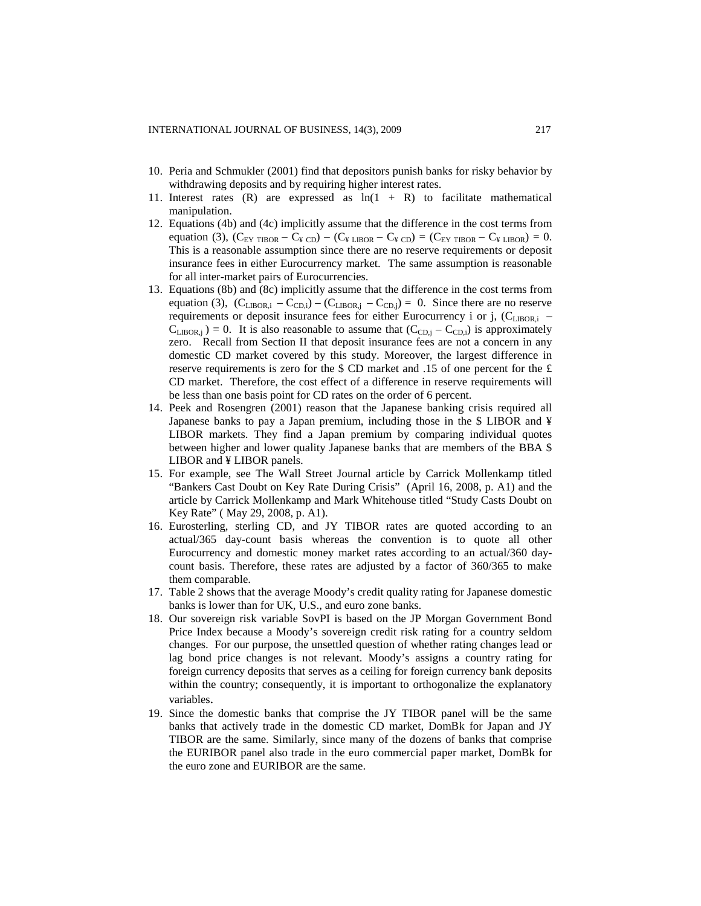- 10. Peria and Schmukler (2001) find that depositors punish banks for risky behavior by withdrawing deposits and by requiring higher interest rates.
- 11. Interest rates  $(R)$  are expressed as  $ln(1 + R)$  to facilitate mathematical manipulation.
- 12. Equations (4b) and (4c) implicitly assume that the difference in the cost terms from equation (3),  $(C_{EY THBOR} - C_{\frac{Y}{2} CD}) - (C_{\frac{Y}{2} LIBOR} - C_{\frac{Y}{2} CD}) = (C_{EY THBOR} - C_{\frac{Y}{2} LIBOR}) = 0.$ This is a reasonable assumption since there are no reserve requirements or deposit insurance fees in either Eurocurrency market. The same assumption is reasonable for all inter-market pairs of Eurocurrencies.
- 13. Equations (8b) and (8c) implicitly assume that the difference in the cost terms from equation (3),  $(C_{LIBOR,i} - C_{CD,i}) - (C_{LIBOR,i} - C_{CD,i}) = 0$ . Since there are no reserve requirements or deposit insurance fees for either Eurocurrency i or j,  $(C_{LIBOR,i}$  –  $C_{\text{LIBOR},j}$ ) = 0. It is also reasonable to assume that  $(C_{\text{CD},j} - C_{\text{CD},j})$  is approximately zero. Recall from Section II that deposit insurance fees are not a concern in any domestic CD market covered by this study. Moreover, the largest difference in reserve requirements is zero for the  $\text{\$ CD}$  market and .15 of one percent for the £ CD market. Therefore, the cost effect of a difference in reserve requirements will be less than one basis point for CD rates on the order of 6 percent.
- 14. Peek and Rosengren (2001) reason that the Japanese banking crisis required all Japanese banks to pay a Japan premium, including those in the \$ LIBOR and ¥ LIBOR markets. They find a Japan premium by comparing individual quotes between higher and lower quality Japanese banks that are members of the BBA \$ LIBOR and ¥ LIBOR panels.
- 15. For example, see The Wall Street Journal article by Carrick Mollenkamp titled "Bankers Cast Doubt on Key Rate During Crisis" (April 16, 2008, p. A1) and the article by Carrick Mollenkamp and Mark Whitehouse titled "Study Casts Doubt on Key Rate" ( May 29, 2008, p. A1).
- 16. Eurosterling, sterling CD, and JY TIBOR rates are quoted according to an actual/365 day-count basis whereas the convention is to quote all other Eurocurrency and domestic money market rates according to an actual/360 daycount basis. Therefore, these rates are adjusted by a factor of 360/365 to make them comparable.
- 17. Table 2 shows that the average Moody's credit quality rating for Japanese domestic banks is lower than for UK, U.S., and euro zone banks.
- 18. Our sovereign risk variable SovPI is based on the JP Morgan Government Bond Price Index because a Moody's sovereign credit risk rating for a country seldom changes. For our purpose, the unsettled question of whether rating changes lead or lag bond price changes is not relevant. Moody's assigns a country rating for foreign currency deposits that serves as a ceiling for foreign currency bank deposits within the country; consequently, it is important to orthogonalize the explanatory variables.
- 19. Since the domestic banks that comprise the JY TIBOR panel will be the same banks that actively trade in the domestic CD market, DomBk for Japan and JY TIBOR are the same. Similarly, since many of the dozens of banks that comprise the EURIBOR panel also trade in the euro commercial paper market, DomBk for the euro zone and EURIBOR are the same.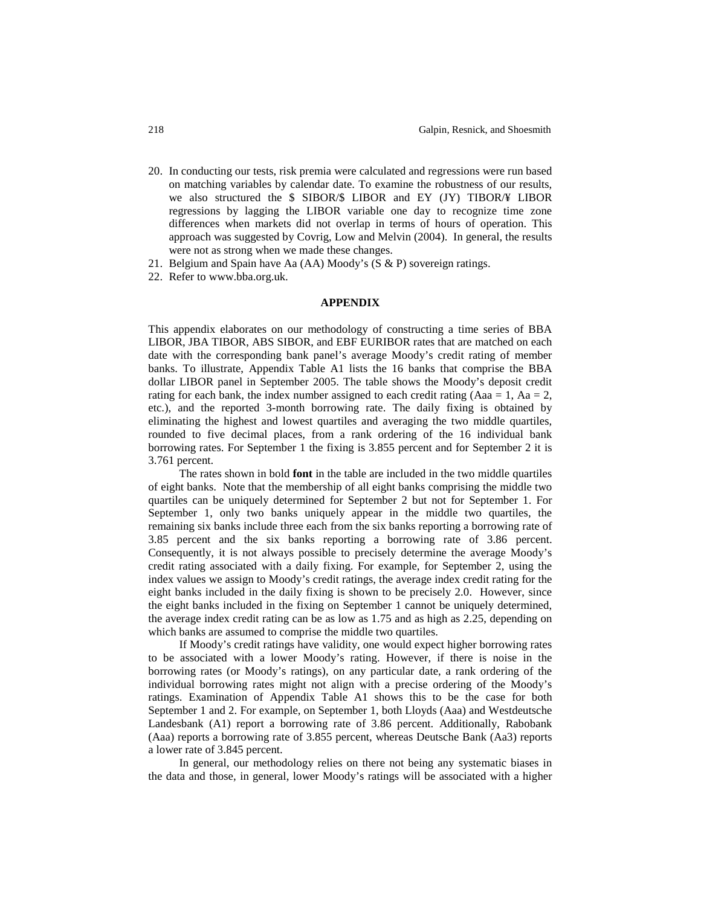- 20. In conducting our tests, risk premia were calculated and regressions were run based on matching variables by calendar date. To examine the robustness of our results, we also structured the \$ SIBOR/\$ LIBOR and EY (JY) TIBOR/¥ LIBOR regressions by lagging the LIBOR variable one day to recognize time zone differences when markets did not overlap in terms of hours of operation. This approach was suggested by Covrig, Low and Melvin (2004). In general, the results were not as strong when we made these changes.
- 21. Belgium and Spain have Aa (AA) Moody's (S & P) sovereign ratings.
- 22. Refer to www.bba.org.uk.

#### **APPENDIX**

This appendix elaborates on our methodology of constructing a time series of BBA LIBOR, JBA TIBOR, ABS SIBOR, and EBF EURIBOR rates that are matched on each date with the corresponding bank panel's average Moody's credit rating of member banks. To illustrate, Appendix Table A1 lists the 16 banks that comprise the BBA dollar LIBOR panel in September 2005. The table shows the Moody's deposit credit rating for each bank, the index number assigned to each credit rating (Aaa = 1, Aa = 2, etc.), and the reported 3-month borrowing rate. The daily fixing is obtained by eliminating the highest and lowest quartiles and averaging the two middle quartiles, rounded to five decimal places, from a rank ordering of the 16 individual bank borrowing rates. For September 1 the fixing is 3.855 percent and for September 2 it is 3.761 percent.

The rates shown in bold **font** in the table are included in the two middle quartiles of eight banks. Note that the membership of all eight banks comprising the middle two quartiles can be uniquely determined for September 2 but not for September 1. For September 1, only two banks uniquely appear in the middle two quartiles, the remaining six banks include three each from the six banks reporting a borrowing rate of 3.85 percent and the six banks reporting a borrowing rate of 3.86 percent. Consequently, it is not always possible to precisely determine the average Moody's credit rating associated with a daily fixing. For example, for September 2, using the index values we assign to Moody's credit ratings, the average index credit rating for the eight banks included in the daily fixing is shown to be precisely 2.0. However, since the eight banks included in the fixing on September 1 cannot be uniquely determined, the average index credit rating can be as low as 1.75 and as high as 2.25, depending on which banks are assumed to comprise the middle two quartiles.

If Moody's credit ratings have validity, one would expect higher borrowing rates to be associated with a lower Moody's rating. However, if there is noise in the borrowing rates (or Moody's ratings), on any particular date, a rank ordering of the individual borrowing rates might not align with a precise ordering of the Moody's ratings. Examination of Appendix Table A1 shows this to be the case for both September 1 and 2. For example, on September 1, both Lloyds (Aaa) and Westdeutsche Landesbank (A1) report a borrowing rate of 3.86 percent. Additionally, Rabobank (Aaa) reports a borrowing rate of 3.855 percent, whereas Deutsche Bank (Aa3) reports a lower rate of 3.845 percent.

In general, our methodology relies on there not being any systematic biases in the data and those, in general, lower Moody's ratings will be associated with a higher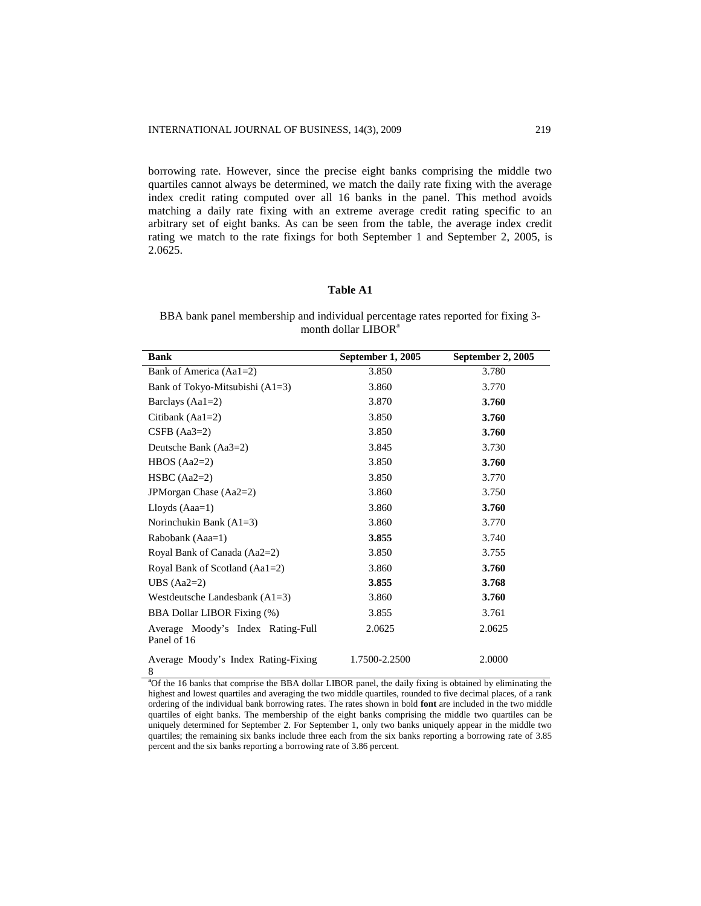borrowing rate. However, since the precise eight banks comprising the middle two quartiles cannot always be determined, we match the daily rate fixing with the average index credit rating computed over all 16 banks in the panel. This method avoids matching a daily rate fixing with an extreme average credit rating specific to an arbitrary set of eight banks. As can be seen from the table, the average index credit rating we match to the rate fixings for both September 1 and September 2, 2005, is 2.0625.

## **Table A1**

BBA bank panel membership and individual percentage rates reported for fixing 3 month dollar LIBOR<sup>a</sup>

| <b>Bank</b>                                      | September 1, 2005 | September 2, 2005 |
|--------------------------------------------------|-------------------|-------------------|
| Bank of America (Aa1=2)                          | 3.850             | 3.780             |
| Bank of Tokyo-Mitsubishi $(A1=3)$                | 3.860             | 3.770             |
| Barclays $(Aa1=2)$                               | 3.870             | 3.760             |
| Citibank $(Aa1=2)$                               | 3.850             | 3.760             |
| $CSFB (Aa3=2)$                                   | 3.850             | 3.760             |
| Deutsche Bank (Aa3=2)                            | 3.845             | 3.730             |
| HBOS $(Aa2=2)$                                   | 3.850             | 3.760             |
| $HSBC (Aa2=2)$                                   | 3.850             | 3.770             |
| JPMorgan Chase (Aa2=2)                           | 3.860             | 3.750             |
| Lloyds $(Aaa=1)$                                 | 3.860             | 3.760             |
| Norinchukin Bank $(A1=3)$                        | 3.860             | 3.770             |
| Rabobank (Aaa=1)                                 | 3.855             | 3.740             |
| Royal Bank of Canada (Aa2=2)                     | 3.850             | 3.755             |
| Royal Bank of Scotland (Aa1=2)                   | 3.860             | 3.760             |
| UBS $(Aa2=2)$                                    | 3.855             | 3.768             |
| Westdeutsche Landesbank $(A1=3)$                 | 3.860             | 3.760             |
| BBA Dollar LIBOR Fixing (%)                      | 3.855             | 3.761             |
| Average Moody's Index Rating-Full<br>Panel of 16 | 2.0625            | 2.0625            |
| Average Moody's Index Rating-Fixing<br>8         | 1.7500-2.2500     | 2.0000            |

**<sup>a</sup>**Of the 16 banks that comprise the BBA dollar LIBOR panel, the daily fixing is obtained by eliminating the highest and lowest quartiles and averaging the two middle quartiles, rounded to five decimal places, of a rank ordering of the individual bank borrowing rates. The rates shown in bold **font** are included in the two middle quartiles of eight banks. The membership of the eight banks comprising the middle two quartiles can be uniquely determined for September 2. For September 1, only two banks uniquely appear in the middle two quartiles; the remaining six banks include three each from the six banks reporting a borrowing rate of 3.85 percent and the six banks reporting a borrowing rate of 3.86 percent.